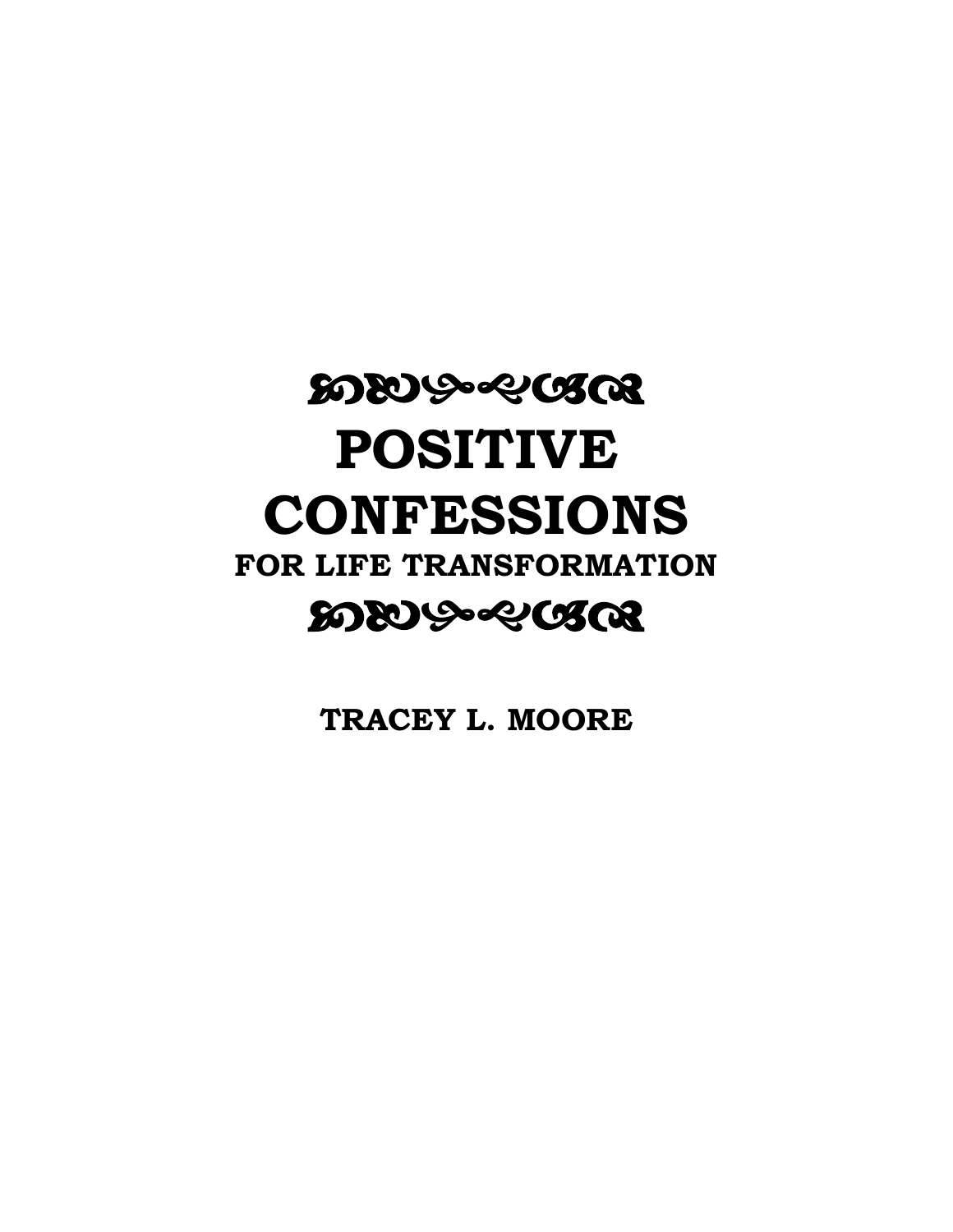# **WAA-SACLE POSITIVE CONFESSIONS FOR LIFE TRANSFORMATION** <u>ಬುಳಿಂಕಿಯಿಂತಿ</u>

**TRACEY L. MOORE**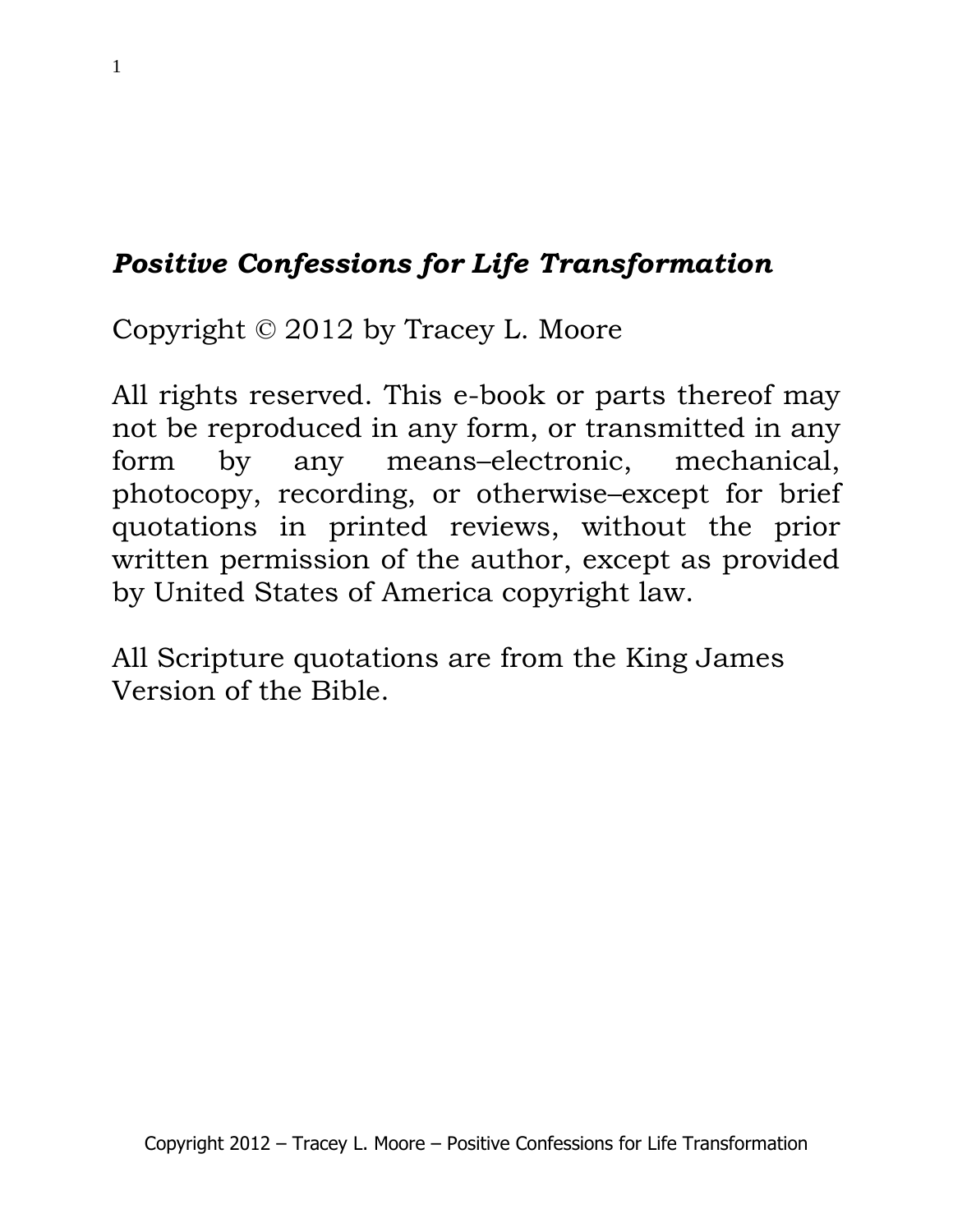# *Positive Confessions for Life Transformation*

Copyright © 2012 by Tracey L. Moore

All rights reserved. This e-book or parts thereof may not be reproduced in any form, or transmitted in any form by any means–electronic, mechanical, photocopy, recording, or otherwise–except for brief quotations in printed reviews, without the prior written permission of the author, except as provided by United States of America copyright law.

All Scripture quotations are from the King James Version of the Bible.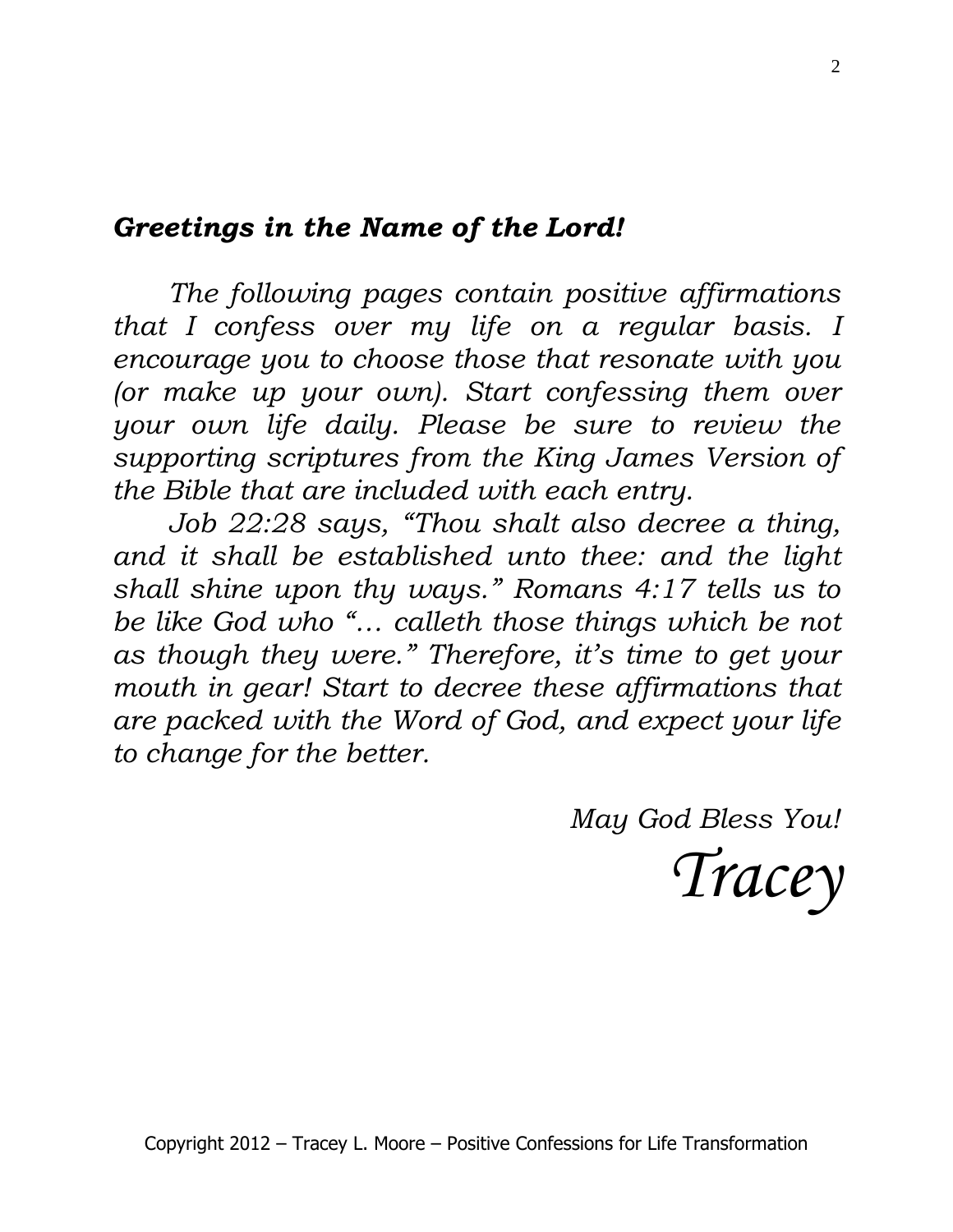# *Greetings in the Name of the Lord!*

*The following pages contain positive affirmations that I confess over my life on a regular basis. I encourage you to choose those that resonate with you (or make up your own). Start confessing them over your own life daily. Please be sure to review the supporting scriptures from the King James Version of the Bible that are included with each entry.*

*Job 22:28 says, "Thou shalt also decree a thing, and it shall be established unto thee: and the light shall shine upon thy ways." Romans 4:17 tells us to be like God who "… calleth those things which be not as though they were." Therefore, it's time to get your mouth in gear! Start to decree these affirmations that are packed with the Word of God, and expect your life to change for the better.* 

*May God Bless You!*

*Tracey*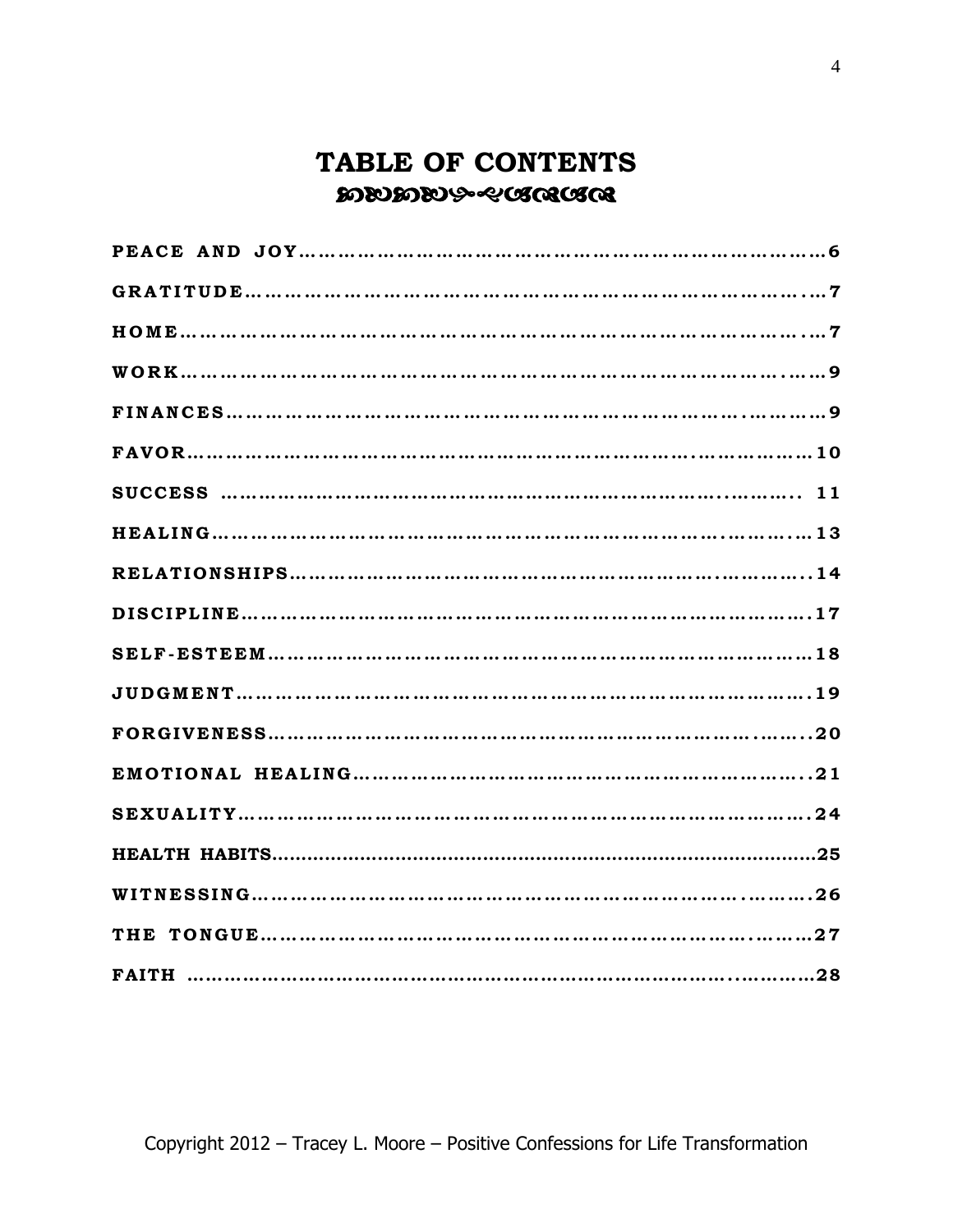# **TABLE OF CONTENTS DEDDEDG-SAARAAS**

| FAITH ………………………………………………………………………………………28 |
|-------------------------------------------|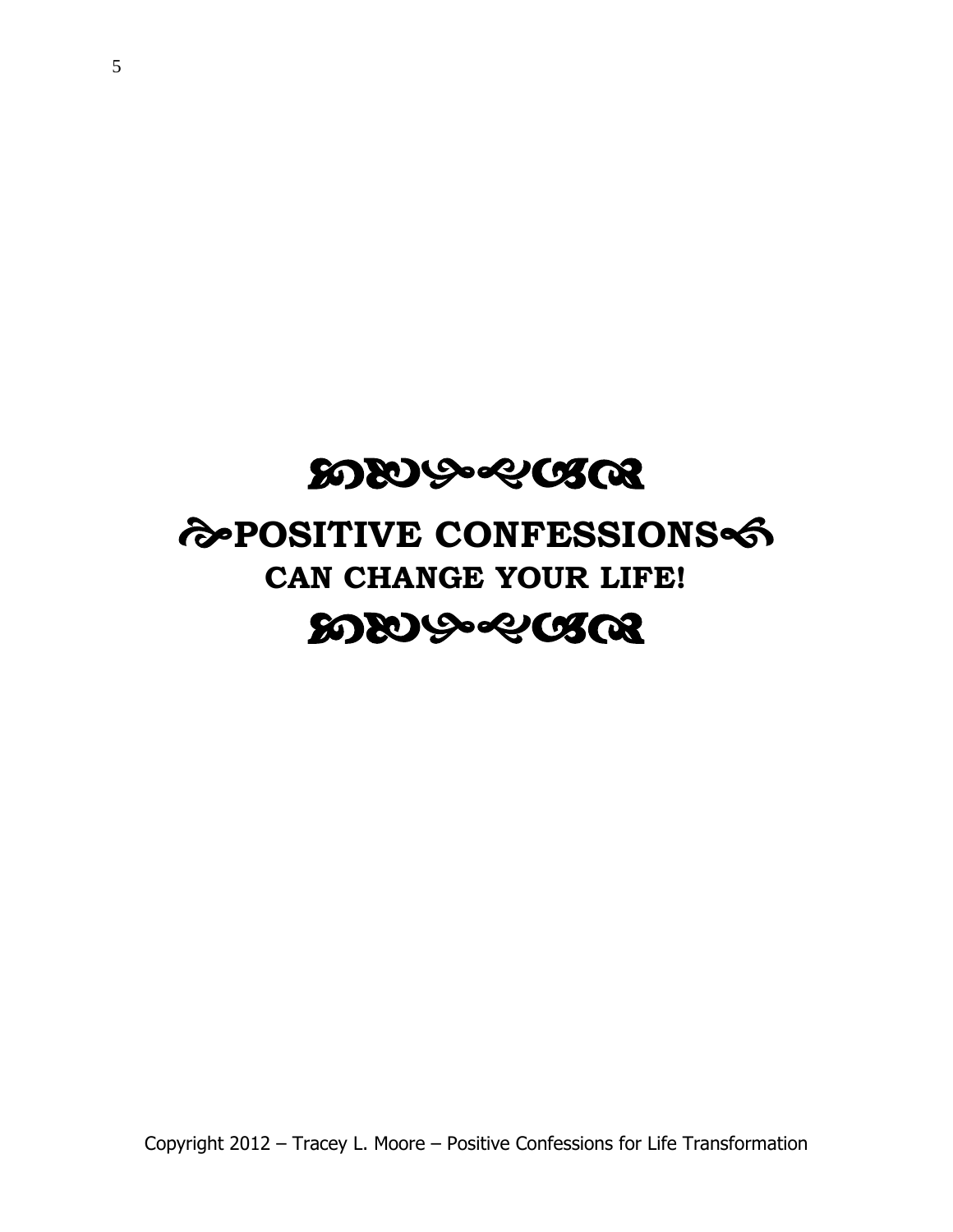# **ಬುಬು**ಹಿಂಕಿಯಿಂತ

# **POSITIVE CONFESSIONS CAN CHANGE YOUR LIFE! ಬುಬು**ಸಿಂಕೆಯಿ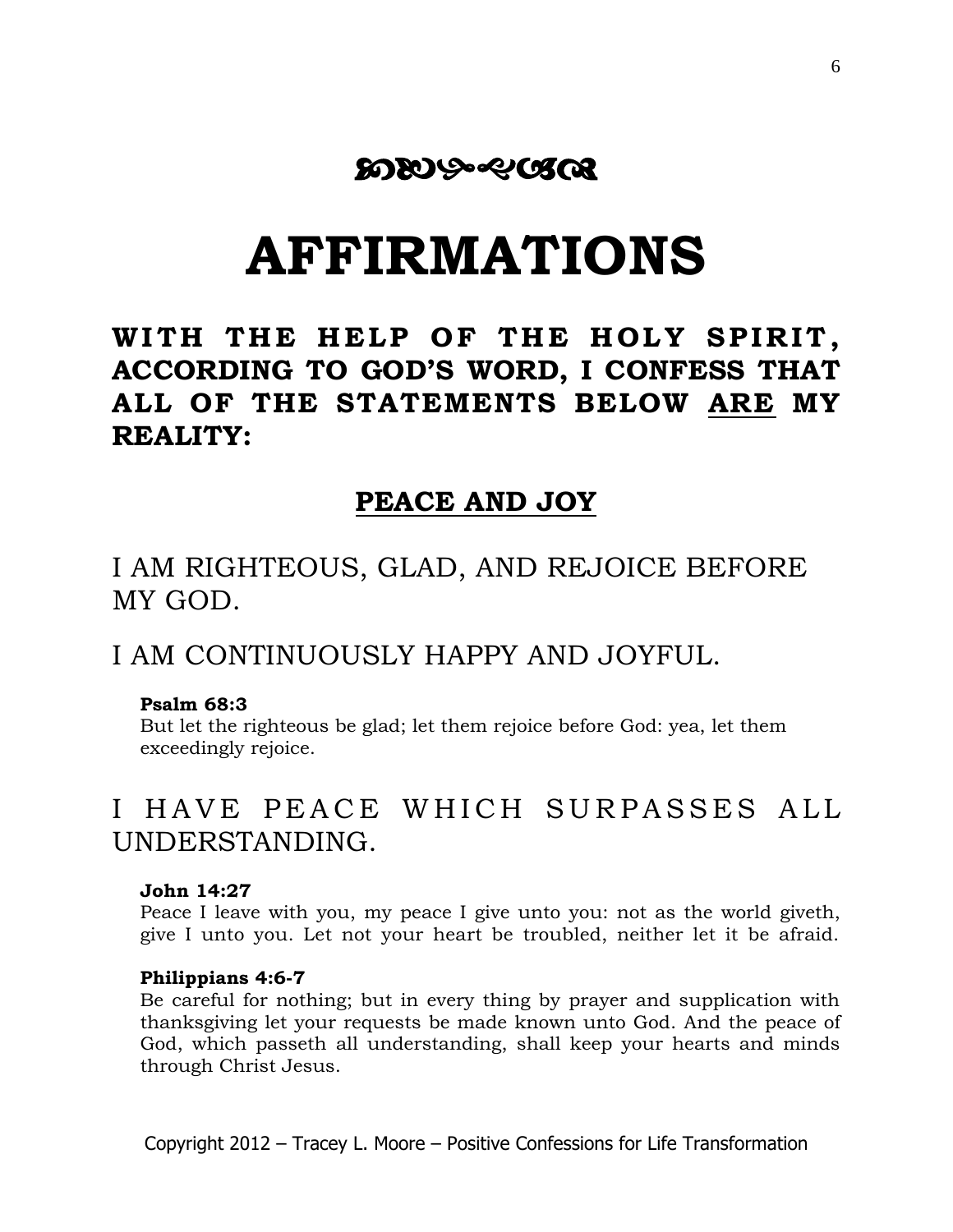# **ಬುಬಿ**ನಿಂದಿಂತ

# **AFFIRMATIONS**

# WITH THE HELP OF THE HOLY SPIRIT, **ACCORDING TO GOD'S WORD, I CONFESS THAT ALL OF THE STATEMENTS BELOW ARE MY REALITY:**

### **PEACE AND JOY**

I AM RIGHTEOUS, GLAD, AND REJOICE BEFORE MY GOD.

### I AM CONTINUOUSLY HAPPY AND JOYFUL.

### **Psalm 68:3**

But let the righteous be glad; let them rejoice before God: yea, let them exceedingly rejoice.

# I HAVE PEACE WHICH SURPASSES ALL UNDERSTANDING.

### **John 14:27**

Peace I leave with you, my peace I give unto you: not as the world giveth, give I unto you. Let not your heart be troubled, neither let it be afraid.

#### **Philippians 4:6-7**

Be careful for nothing; but in every thing by prayer and supplication with thanksgiving let your requests be made known unto God. And the peace of God, which passeth all understanding, shall keep your hearts and minds through Christ Jesus.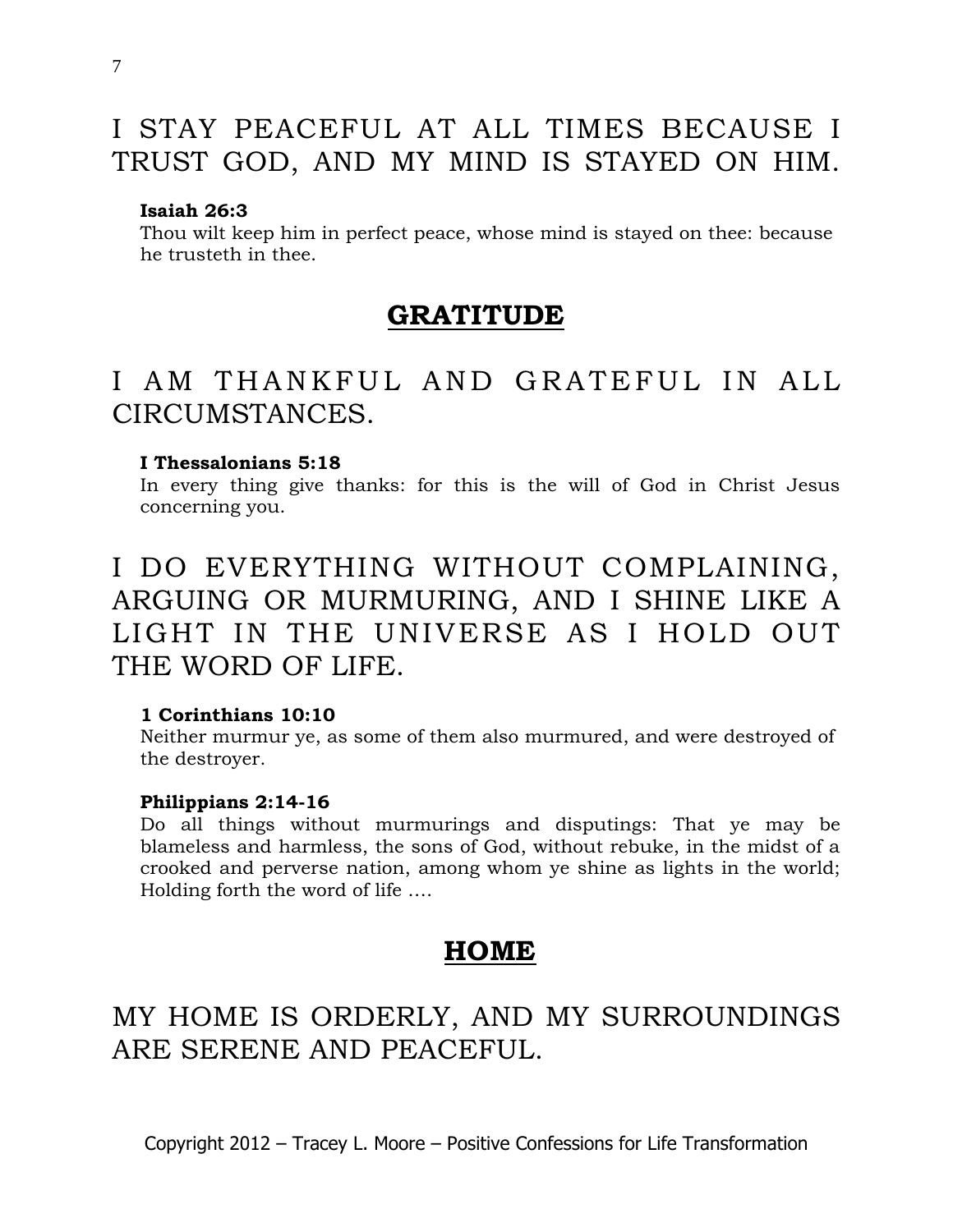# I STAY PEACEFUL AT ALL TIMES BECAUSE I TRUST GOD, AND MY MIND IS STAYED ON HIM.

### **Isaiah 26:3**

Thou wilt keep him in perfect peace, whose mind is stayed on thee: because he trusteth in thee.

### **GRATITUDE**

# I AM THANKFUL AND GRATEFUL IN ALL CIRCUMSTANCES.

### **I Thessalonians 5:18**

In every thing give thanks: for this is the will of God in Christ Jesus concerning you.

# I DO EVERYTHING WITHOUT COMPLAINING, ARGUING OR MURMURING, AND I SHINE LIKE A LIGHT IN THE UNIVERSE AS I HOLD OUT THE WORD OF LIFE.

### **[1 Corinthians 10:10](http://www.biblegateway.com/passage/?search=1%20Corinthians+10:10&version=KJV)**

Neither murmur ye, as some of them also murmured, and were destroyed of the destroyer.

#### **Philippians 2:14-16**

Do all things without murmurings and disputings: That ye may be blameless and harmless, the sons of God, without rebuke, in the midst of a crooked and perverse nation, among whom ye shine as lights in the world; Holding forth the word of life ….

### **HOME**

# MY HOME IS ORDERLY, AND MY SURROUNDINGS ARE SERENE AND PEACEFUL.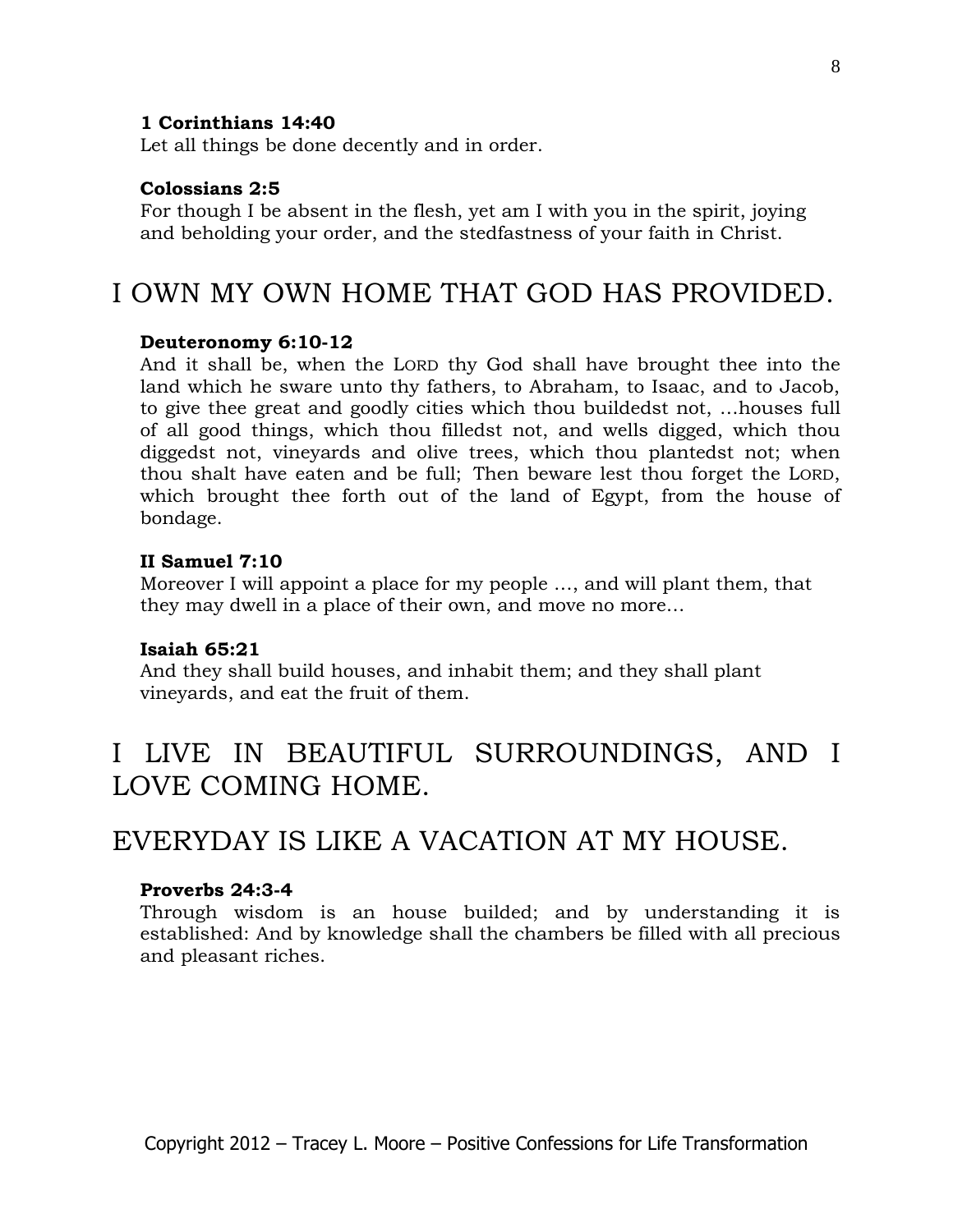### **[1 Corinthians 14:40](http://www.biblegateway.com/passage/?search=1%20Corinthians+14:40&version=KJV)**

Let all things be done decently and in order.

#### **[Colossians 2:5](http://www.biblegateway.com/passage/?search=Colossians+2:5&version=KJV)**

For though I be absent in the flesh, yet am I with you in the spirit, joying and beholding your order, and the stedfastness of your faith in Christ.

### I OWN MY OWN HOME THAT GOD HAS PROVIDED.

#### **Deuteronomy 6:10-12**

And it shall be, when the LORD thy God shall have brought thee into the land which he sware unto thy fathers, to Abraham, to Isaac, and to Jacob, to give thee great and goodly cities which thou buildedst not, …houses full of all good things, which thou filledst not, and wells digged, which thou diggedst not, vineyards and olive trees, which thou plantedst not; when thou shalt have eaten and be full; Then beware lest thou forget the LORD, which brought thee forth out of the land of Egypt, from the house of bondage.

#### **II Samuel 7:10**

Moreover I will appoint a place for my people …, and will plant them, that they may dwell in a place of their own, and move no more…

#### **Isaiah 65:21**

And they shall build houses, and inhabit them; and they shall plant vineyards, and eat the fruit of them.

# I LIVE IN BEAUTIFUL SURROUNDINGS, AND I LOVE COMING HOME.

### EVERYDAY IS LIKE A VACATION AT MY HOUSE.

### **Proverbs 24:3-4**

Through wisdom is an house builded; and by understanding it is established: And by knowledge shall the chambers be filled with all precious and pleasant riches.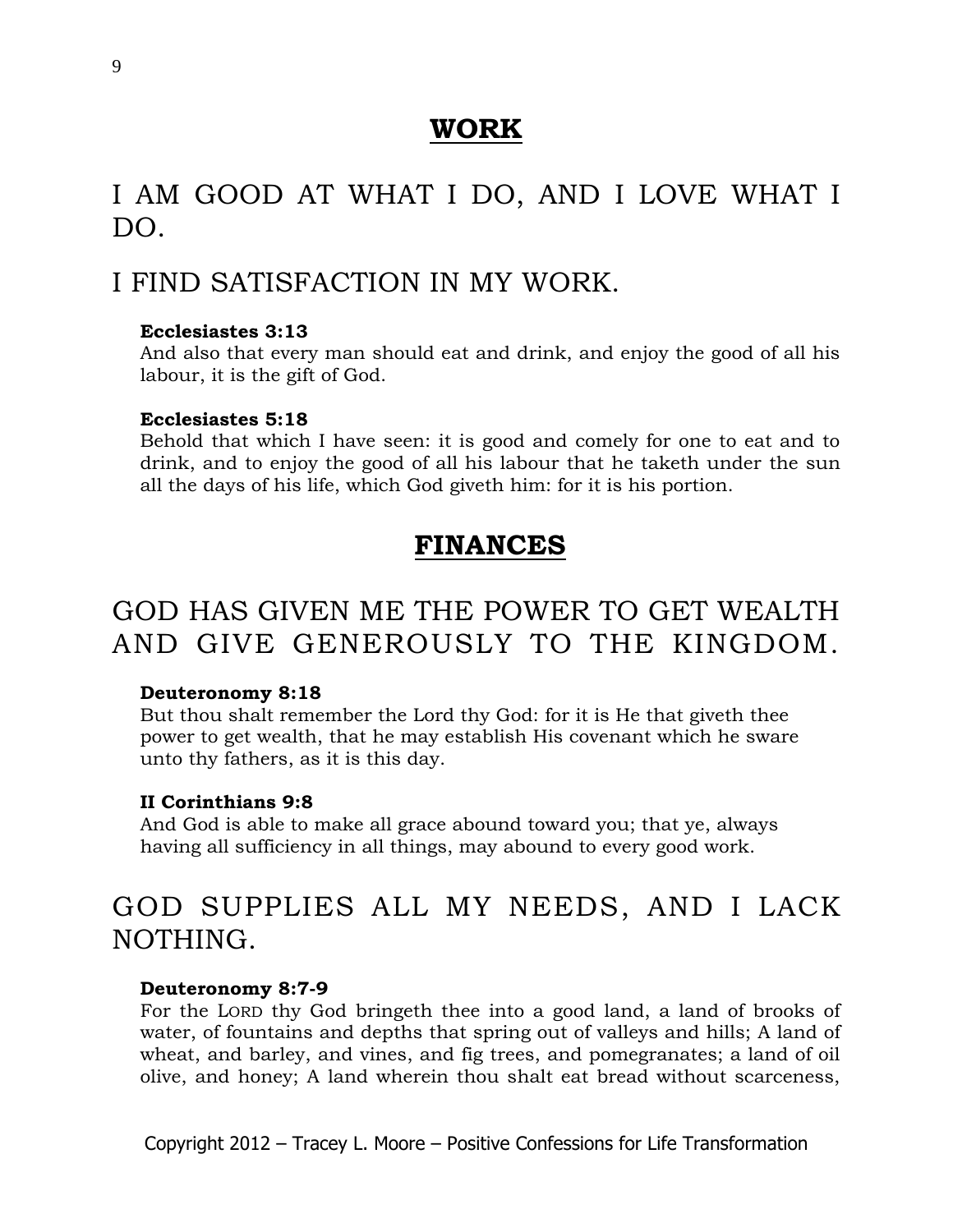### **WORK**

# I AM GOOD AT WHAT I DO, AND I LOVE WHAT I DO.

# I FIND SATISFACTION IN MY WORK.

### **Ecclesiastes 3:13**

And also that every man should eat and drink, and enjoy the good of all his labour, it is the gift of God.

### **Ecclesiastes 5:18**

Behold that which I have seen: it is good and comely for one to eat and to drink, and to enjoy the good of all his labour that he taketh under the sun all the days of his life, which God giveth him: for it is his portion.

# **FINANCES**

# GOD HAS GIVEN ME THE POWER TO GET WEALTH AND GIVE GENEROUSLY TO THE KINGDOM.

### **Deuteronomy 8:18**

But thou shalt remember the Lord thy God: for it is He that giveth thee power to get wealth, that he may establish His covenant which he sware unto thy fathers, as it is this day.

### **II Corinthians 9:8**

And God is able to make all grace abound toward you; that ye, always having all sufficiency in all things, may abound to every good work.

# GOD SUPPLIES ALL MY NEEDS, AND I LACK NOTHING.

### **Deuteronomy 8:7-9**

For the LORD thy God bringeth thee into a good land, a land of brooks of water, of fountains and depths that spring out of valleys and hills; A land of wheat, and barley, and vines, and fig trees, and pomegranates; a land of oil olive, and honey; A land wherein thou shalt eat bread without scarceness,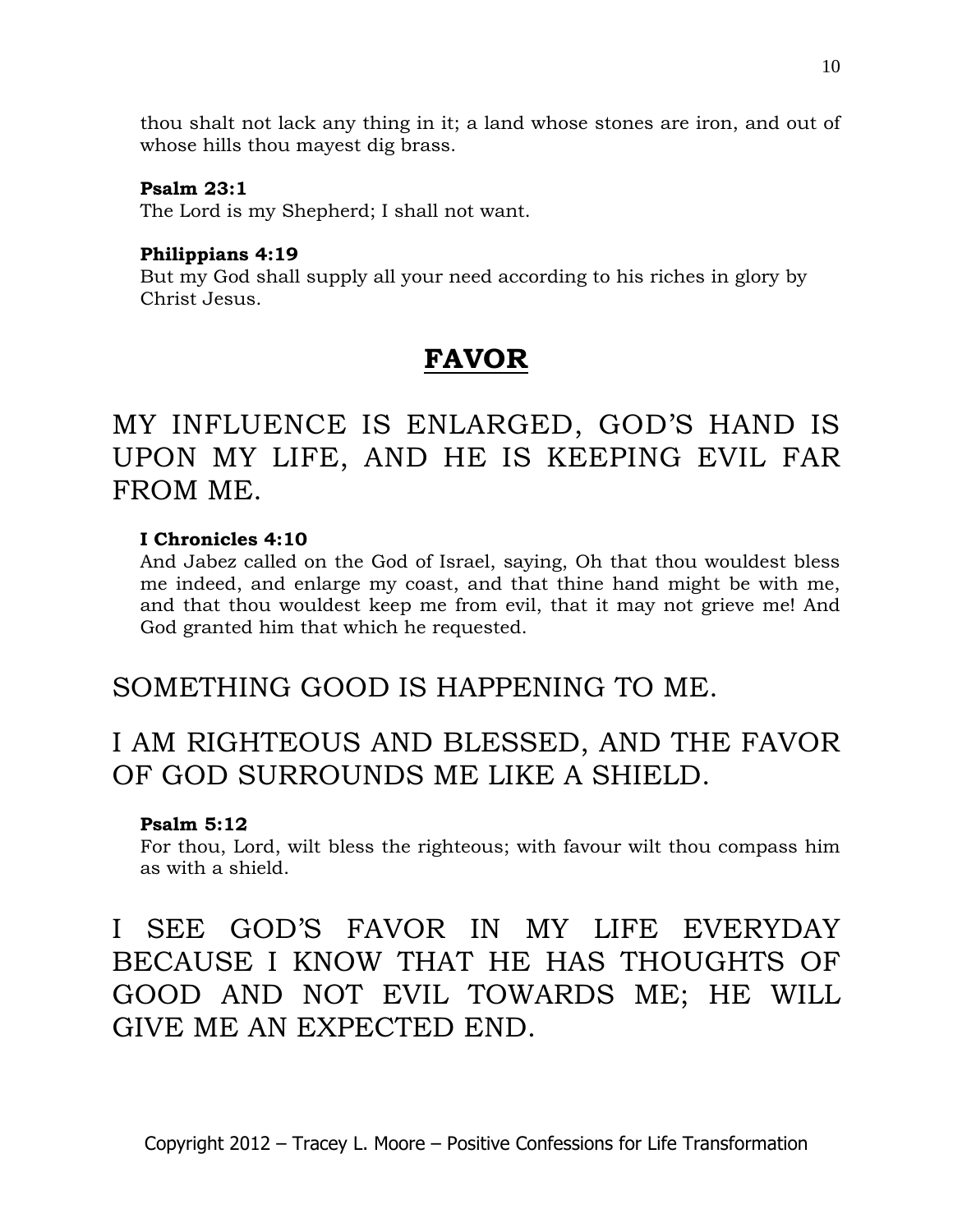thou shalt not lack any thing in it; a land whose stones are iron, and out of whose hills thou mayest dig brass.

### **Psalm 23:1**

The Lord is my Shepherd; I shall not want.

### **Philippians 4:19**

But my God shall supply all your need according to his riches in glory by Christ Jesus.

# **FAVOR**

# MY INFLUENCE IS ENLARGED, GOD'S HAND IS UPON MY LIFE, AND HE IS KEEPING EVIL FAR FROM ME.

### **I Chronicles 4:10**

And Jabez called on the God of Israel, saying, Oh that thou wouldest bless me indeed, and enlarge my coast, and that thine hand might be with me, and that thou wouldest keep me from evil, that it may not grieve me! And God granted him that which he requested.

### SOMETHING GOOD IS HAPPENING TO ME.

# I AM RIGHTEOUS AND BLESSED, AND THE FAVOR OF GOD SURROUNDS ME LIKE A SHIELD.

### **Psalm 5:12**

For thou, Lord, wilt bless the righteous; with favour wilt thou compass him as with a shield.

# I SEE GOD'S FAVOR IN MY LIFE EVERYDAY BECAUSE I KNOW THAT HE HAS THOUGHTS OF GOOD AND NOT EVIL TOWARDS ME; HE WILL GIVE ME AN EXPECTED END.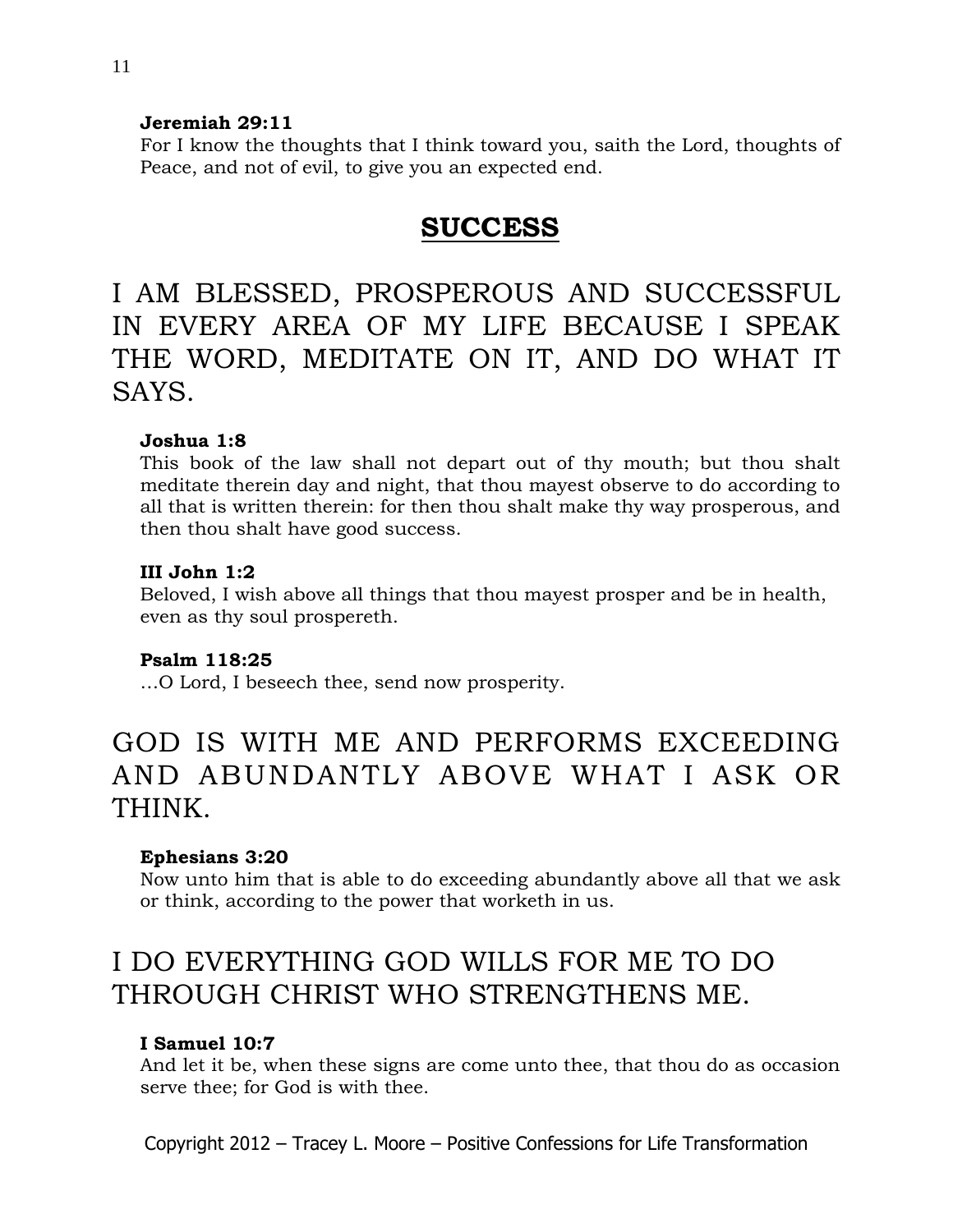### **Jeremiah 29:11**

For I know the thoughts that I think toward you, saith the Lord, thoughts of Peace, and not of evil, to give you an expected end.

## **SUCCESS**

I AM BLESSED, PROSPEROUS AND SUCCESSFUL IN EVERY AREA OF MY LIFE BECAUSE I SPEAK THE WORD, MEDITATE ON IT, AND DO WHAT IT SAYS.

### **Joshua 1:8**

This book of the law shall not depart out of thy mouth; but thou shalt meditate therein day and night, that thou mayest observe to do according to all that is written therein: for then thou shalt make thy way prosperous, and then thou shalt have good success.

### **III John 1:2**

Beloved, I wish above all things that thou mayest prosper and be in health, even as thy soul prospereth.

### **Psalm 118:25**

…O Lord, I beseech thee, send now prosperity.

# GOD IS WITH ME AND PERFORMS EXCEEDING AND ABUNDANTLY ABOVE WHAT I ASK OR THINK.

### **Ephesians 3:20**

Now unto him that is able to do exceeding abundantly above all that we ask or think, according to the power that worketh in us.

# I DO EVERYTHING GOD WILLS FOR ME TO DO THROUGH CHRIST WHO STRENGTHENS ME.

### **I Samuel 10:7**

And let it be, when these signs are come unto thee, that thou do as occasion serve thee; for God is with thee.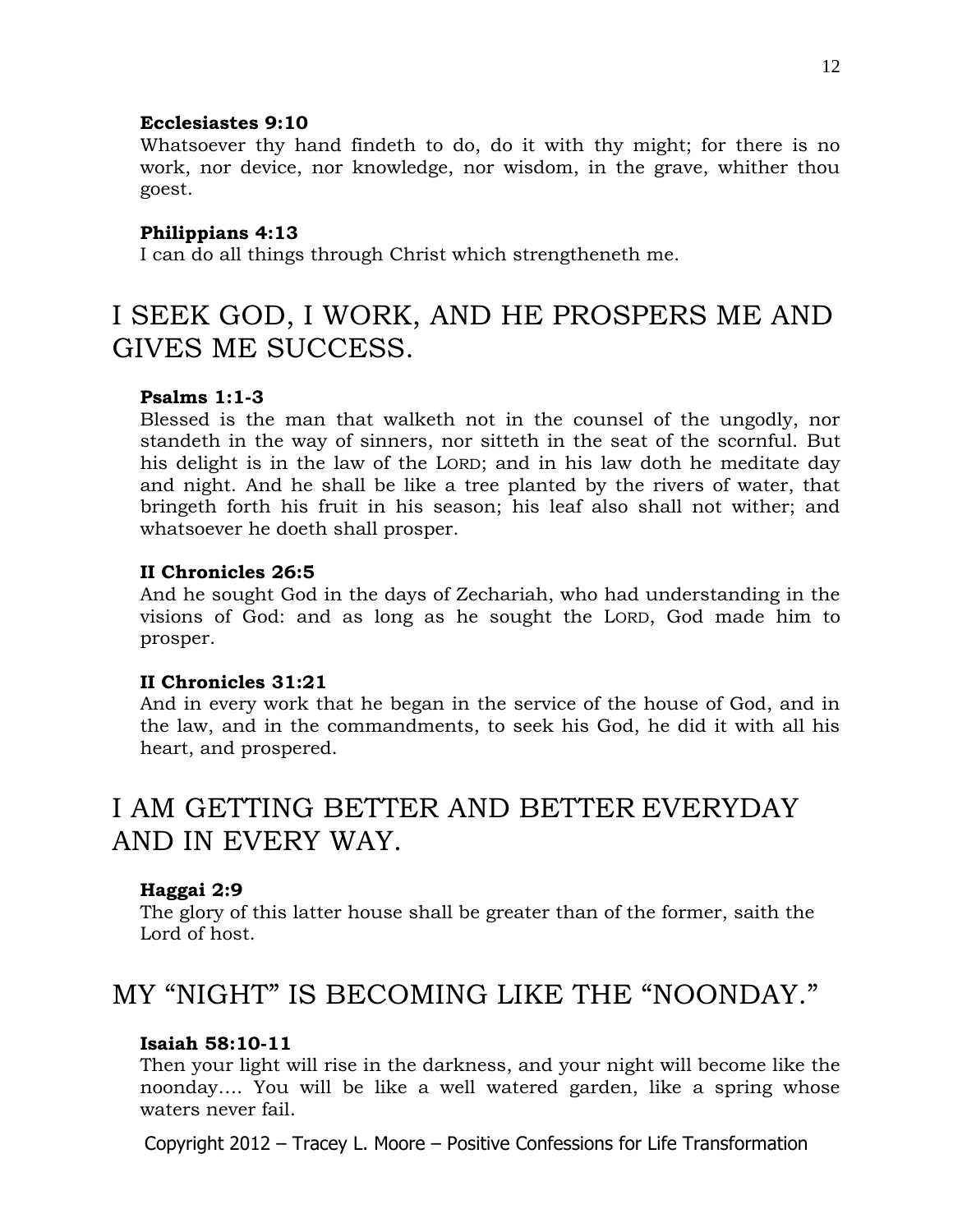#### **Ecclesiastes 9:10**

Whatsoever thy hand findeth to do, do it with thy might; for there is no work, nor device, nor knowledge, nor wisdom, in the grave, whither thou goest.

#### **Philippians 4:13**

I can do all things through Christ which strengtheneth me.

## I SEEK GOD, I WORK, AND HE PROSPERS ME AND GIVES ME SUCCESS.

### **Psalms 1:1-3**

Blessed is the man that walketh not in the counsel of the ungodly, nor standeth in the way of sinners, nor sitteth in the seat of the scornful. But his delight is in the law of the LORD; and in his law doth he meditate day and night. And he shall be like a tree planted by the rivers of water, that bringeth forth his fruit in his season; his leaf also shall not wither; and whatsoever he doeth shall prosper.

#### **II Chronicles 26:5**

And he sought God in the days of Zechariah, who had understanding in the visions of God: and as long as he sought the LORD, God made him to prosper.

### **II Chronicles 31:21**

And in every work that he began in the service of the house of God, and in the law, and in the commandments, to seek his God, he did it with all his heart, and prospered.

# I AM GETTING BETTER AND BETTER EVERYDAY AND IN EVERY WAY.

#### **Haggai 2:9**

The glory of this latter house shall be greater than of the former, saith the Lord of host.

### MY "NIGHT" IS BECOMING LIKE THE "NOONDAY."

### **Isaiah 58:10-11**

Then your light will rise in the darkness, and your night will become like the noonday…. You will be like a well watered garden, like a spring whose waters never fail.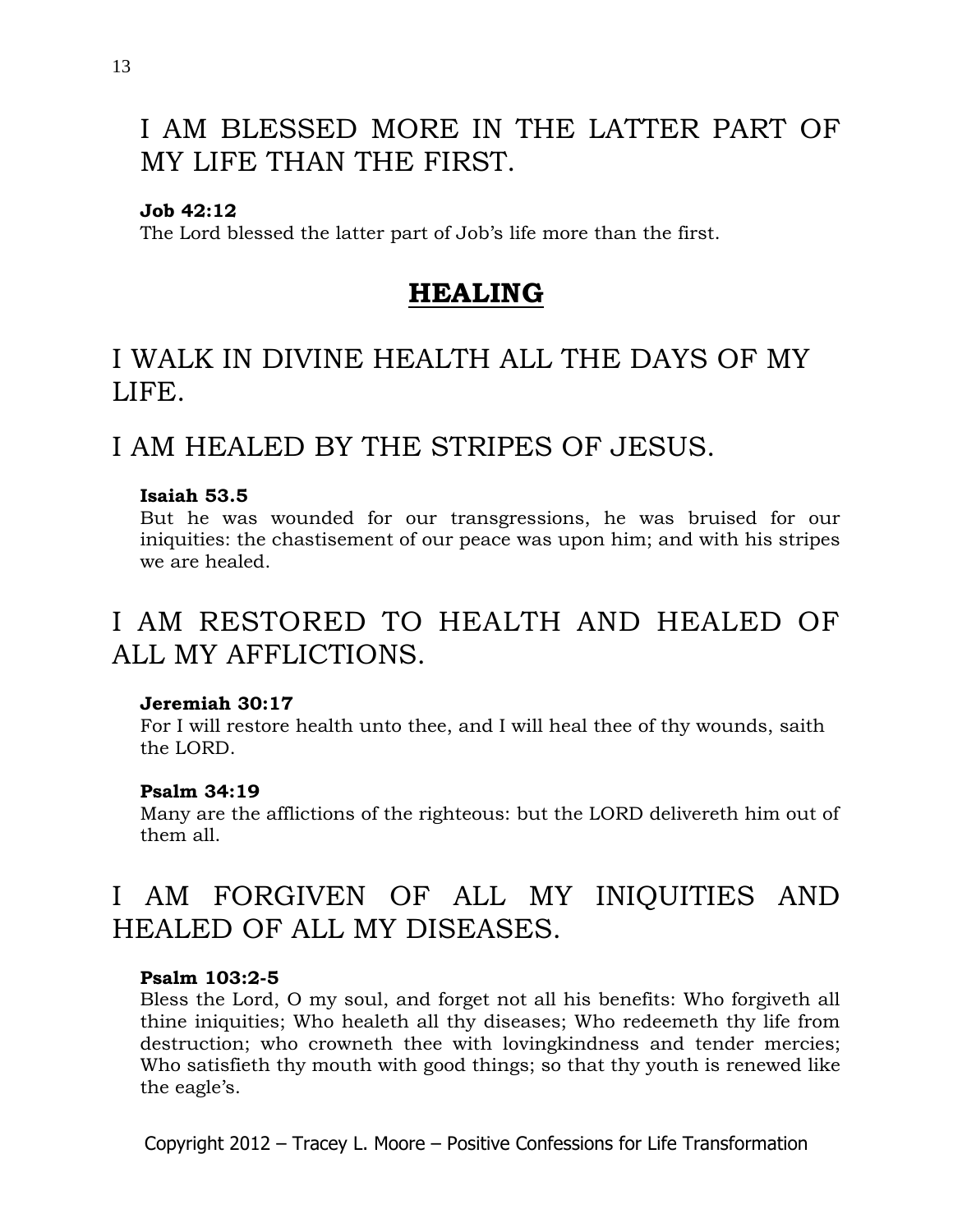# I AM BLESSED MORE IN THE LATTER PART OF MY LIFE THAN THE FIRST.

### **Job 42:12**

The Lord blessed the latter part of Job's life more than the first.

### **HEALING**

# I WALK IN DIVINE HEALTH ALL THE DAYS OF MY LIFE.

### I AM HEALED BY THE STRIPES OF JESUS.

### **Isaiah 53.5**

But he was wounded for our transgressions, he was bruised for our iniquities: the chastisement of our peace was upon him; and with his stripes we are healed.

# I AM RESTORED TO HEALTH AND HEALED OF ALL MY AFFLICTIONS.

### **Jeremiah 30:17**

For I will restore health unto thee, and I will heal thee of thy wounds, saith the LORD.

### **[Psalm 34:19](http://www.biblegateway.com/passage/?search=Psalm+34:19&version=KJV)**

Many are the afflictions of the righteous: but the LORD delivereth him out of them all.

# I AM FORGIVEN OF ALL MY INIQUITIES AND HEALED OF ALL MY DISEASES.

### **Psalm 103:2-5**

Bless the Lord, O my soul, and forget not all his benefits: Who forgiveth all thine iniquities; Who healeth all thy diseases; Who redeemeth thy life from destruction; who crowneth thee with lovingkindness and tender mercies; Who satisfieth thy mouth with good things; so that thy youth is renewed like the eagle's.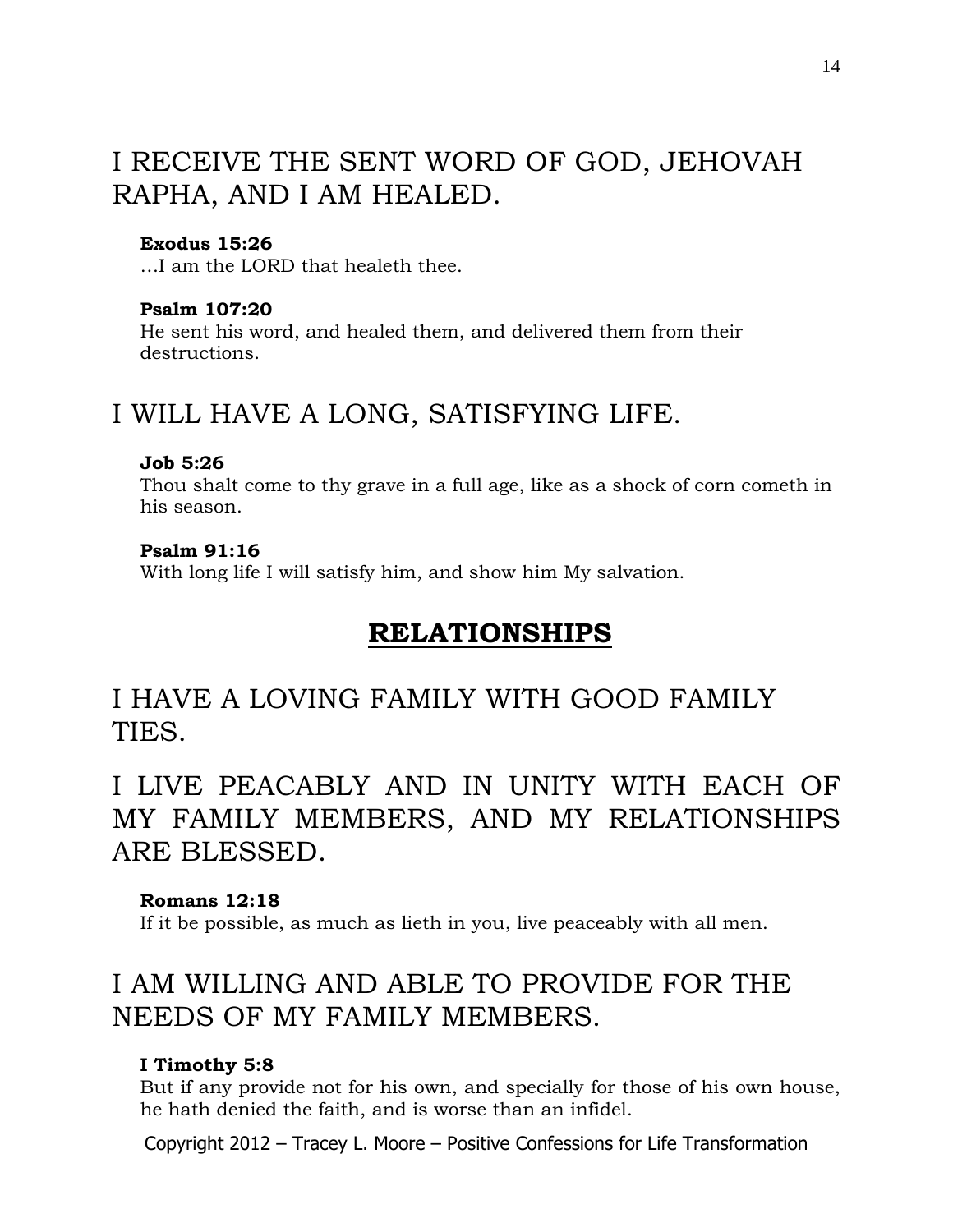# I RECEIVE THE SENT WORD OF GOD, JEHOVAH RAPHA, AND I AM HEALED.

### **Exodus 15:26**

…I am the LORD that healeth thee.

#### **Psalm 107:20**

He sent his word, and healed them, and delivered them from their destructions.

### I WILL HAVE A LONG, SATISFYING LIFE.

#### **Job 5:26**

Thou shalt come to thy grave in a full age, like as a shock of corn cometh in his season.

#### **Psalm 91:16**

With long life I will satisfy him, and show him My salvation.

### **RELATIONSHIPS**

# I HAVE A LOVING FAMILY WITH GOOD FAMILY TIES.

I LIVE PEACABLY AND IN UNITY WITH EACH OF MY FAMILY MEMBERS, AND MY RELATIONSHIPS ARE BLESSED.

### **Romans 12:18**

If it be possible, as much as lieth in you, live peaceably with all men.

# I AM WILLING AND ABLE TO PROVIDE FOR THE NEEDS OF MY FAMILY MEMBERS.

### **I Timothy 5:8**

But if any provide not for his own, and specially for those of his own house, he hath denied the faith, and is worse than an infidel.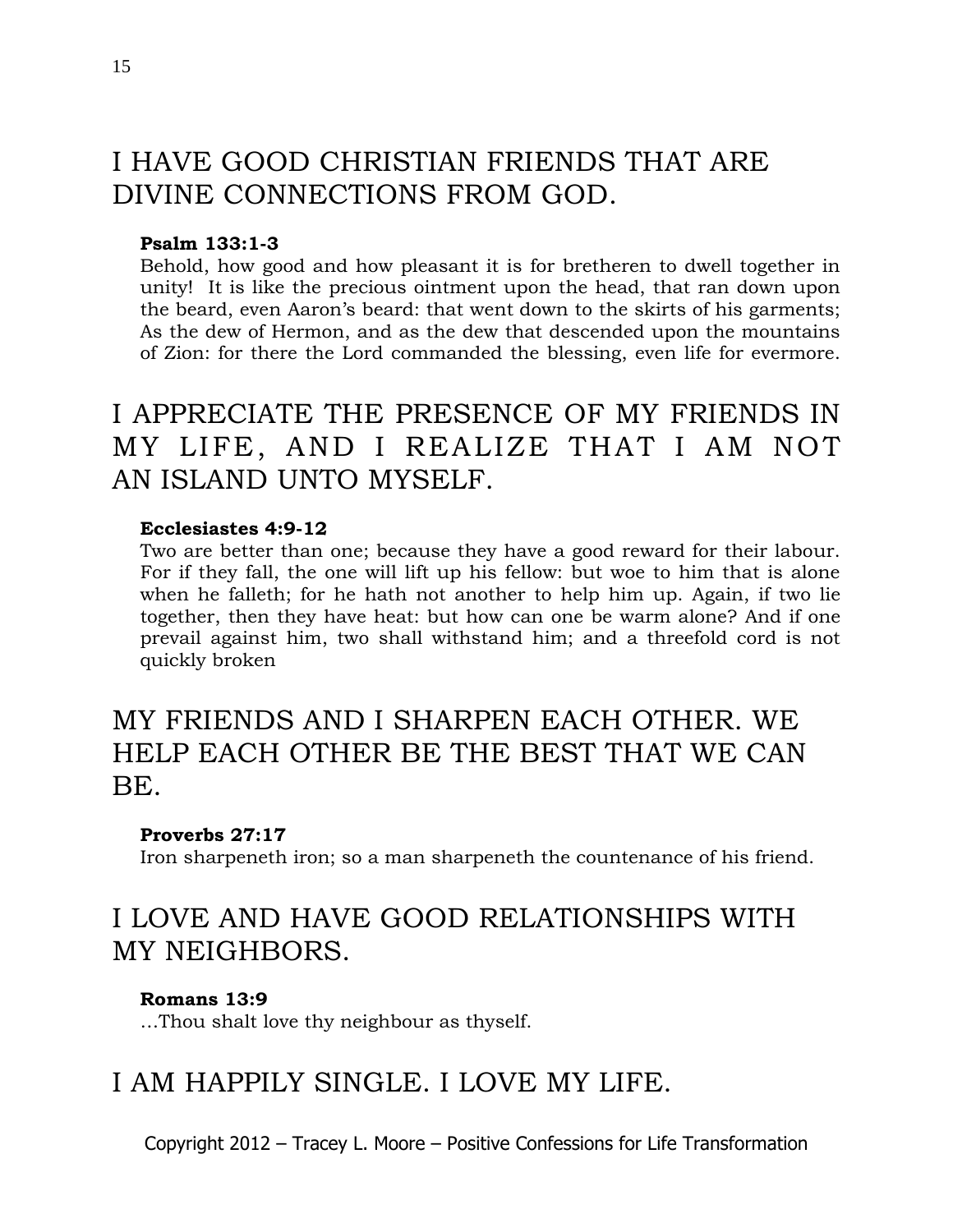# I HAVE GOOD CHRISTIAN FRIENDS THAT ARE DIVINE CONNECTIONS FROM GOD.

### **Psalm 133:1-3**

Behold, how good and how pleasant it is for bretheren to dwell together in unity! It is like the precious ointment upon the head, that ran down upon the beard, even Aaron's beard: that went down to the skirts of his garments; As the dew of Hermon, and as the dew that descended upon the mountains of Zion: for there the Lord commanded the blessing, even life for evermore.

# I APPRECIATE THE PRESENCE OF MY FRIENDS IN MY LIFE, AND I REALIZE THAT I AM NOT AN ISLAND UNTO MYSELF.

#### **Ecclesiastes 4:9-12**

Two are better than one; because they have a good reward for their labour. For if they fall, the one will lift up his fellow: but woe to him that is alone when he falleth; for he hath not another to help him up. Again, if two lie together, then they have heat: but how can one be warm alone? And if one prevail against him, two shall withstand him; and a threefold cord is not quickly broken

# MY FRIENDS AND I SHARPEN EACH OTHER. WE HELP EACH OTHER BE THE BEST THAT WE CAN BE.

### **Proverbs 27:17**

Iron sharpeneth iron; so a man sharpeneth the countenance of his friend.

# I LOVE AND HAVE GOOD RELATIONSHIPS WITH MY NEIGHBORS.

### **Romans 13:9**

…Thou shalt love thy neighbour as thyself.

# I AM HAPPILY SINGLE. I LOVE MY LIFE.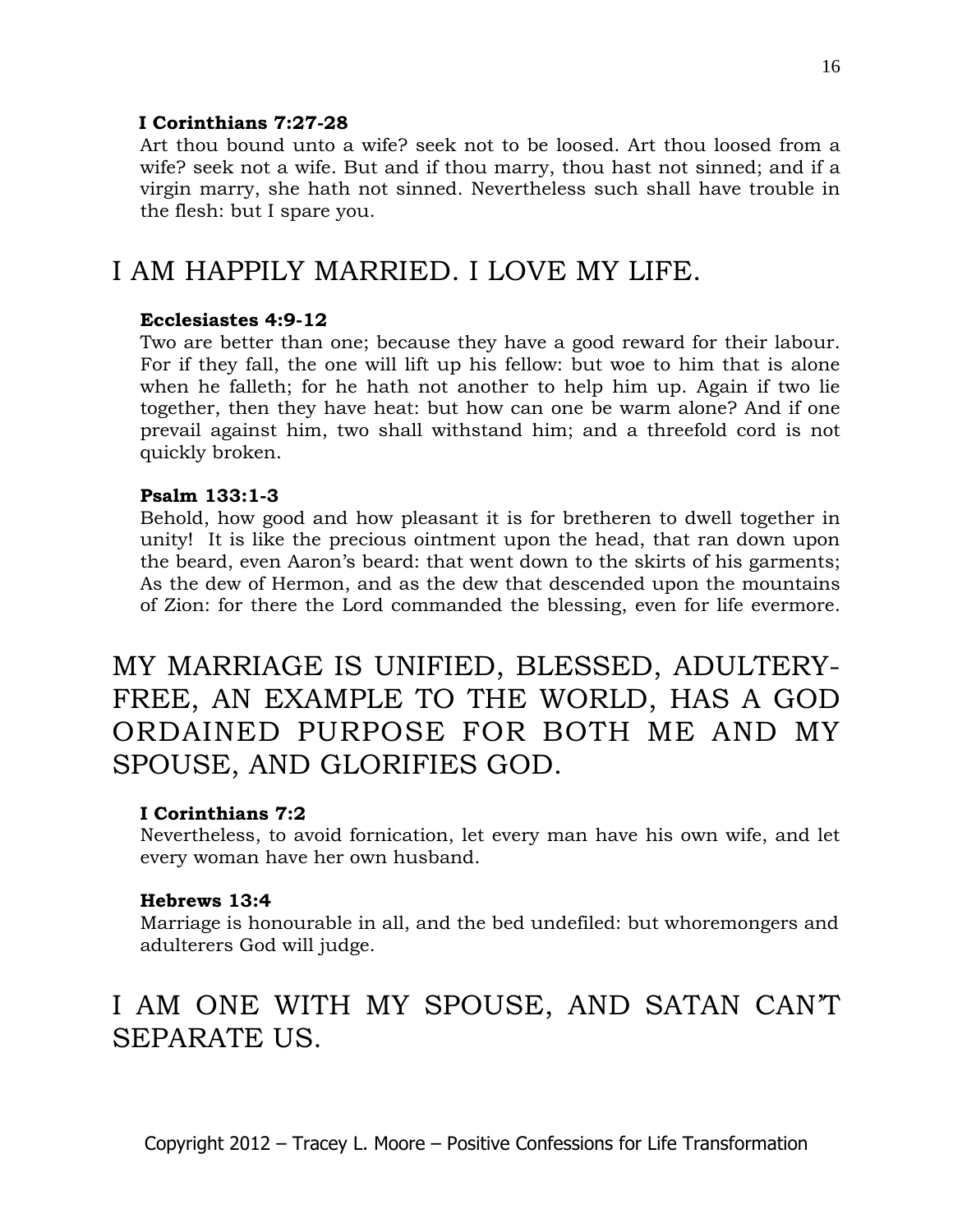### **I Corinthians 7:27-28**

Art thou bound unto a wife? seek not to be loosed. Art thou loosed from a wife? seek not a wife. But and if thou marry, thou hast not sinned; and if a virgin marry, she hath not sinned. Nevertheless such shall have trouble in the flesh: but I spare you.

### I AM HAPPILY MARRIED. I LOVE MY LIFE.

### **Ecclesiastes 4:9-12**

Two are better than one; because they have a good reward for their labour. For if they fall, the one will lift up his fellow: but woe to him that is alone when he falleth; for he hath not another to help him up. Again if two lie together, then they have heat: but how can one be warm alone? And if one prevail against him, two shall withstand him; and a threefold cord is not quickly broken.

### **Psalm 133:1-3**

Behold, how good and how pleasant it is for bretheren to dwell together in unity! It is like the precious ointment upon the head, that ran down upon the beard, even Aaron's beard: that went down to the skirts of his garments; As the dew of Hermon, and as the dew that descended upon the mountains of Zion: for there the Lord commanded the blessing, even for life evermore.

MY MARRIAGE IS UNIFIED, BLESSED, ADULTERY-FREE, AN EXAMPLE TO THE WORLD, HAS A GOD ORDAINED PURPOSE FOR BOTH ME AND MY SPOUSE, AND GLORIFIES GOD.

### **I Corinthians 7:2**

Nevertheless, to avoid fornication, let every man have his own wife, and let every woman have her own husband.

### **Hebrews 13:4**

Marriage is honourable in all, and the bed undefiled: but whoremongers and adulterers God will judge.

# I AM ONE WITH MY SPOUSE, AND SATAN CAN'T SEPARATE US.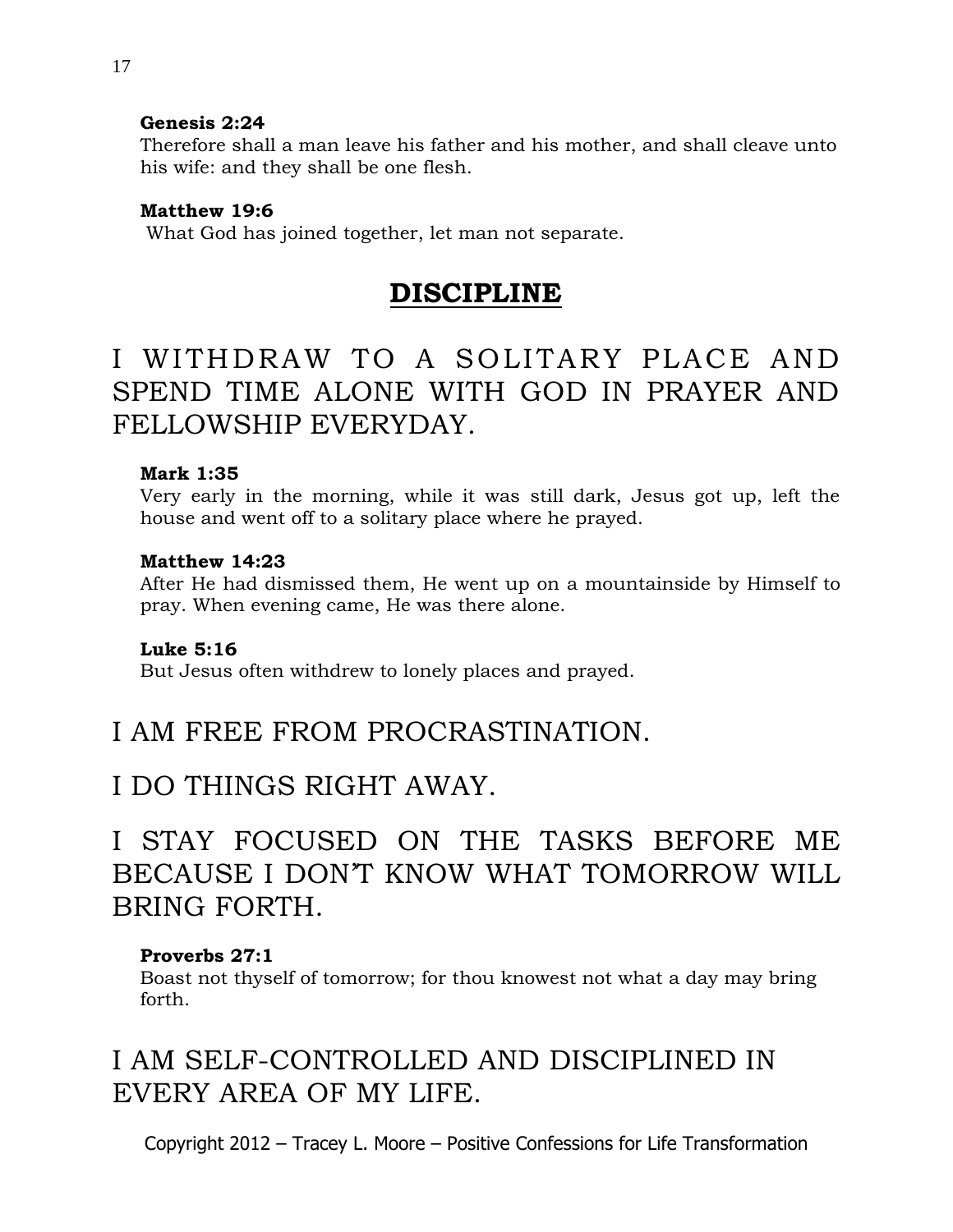### **Genesis 2:24**

Therefore shall a man leave his father and his mother, and shall cleave unto his wife: and they shall be one flesh.

### **Matthew 19:6**

What God has joined together, let man not separate.

### **DISCIPLINE**

# I WITHDRAW TO A SOLITARY PLACE AND SPEND TIME ALONE WITH GOD IN PRAYER AND FELLOWSHIP EVERYDAY.

### **Mark 1:35**

Very early in the morning, while it was still dark, Jesus got up, left the house and went off to a solitary place where he prayed.

### **Matthew 14:23**

After He had dismissed them, He went up on a mountainside by Himself to pray. When evening came, He was there alone.

### **Luke 5:16**

But Jesus often withdrew to lonely places and prayed.

### I AM FREE FROM PROCRASTINATION.

### I DO THINGS RIGHT AWAY.

# I STAY FOCUSED ON THE TASKS BEFORE ME BECAUSE I DON'T KNOW WHAT TOMORROW WILL BRING FORTH.

### **Proverbs 27:1**

Boast not thyself of tomorrow; for thou knowest not what a day may bring forth.

# I AM SELF-CONTROLLED AND DISCIPLINED IN EVERY AREA OF MY LIFE.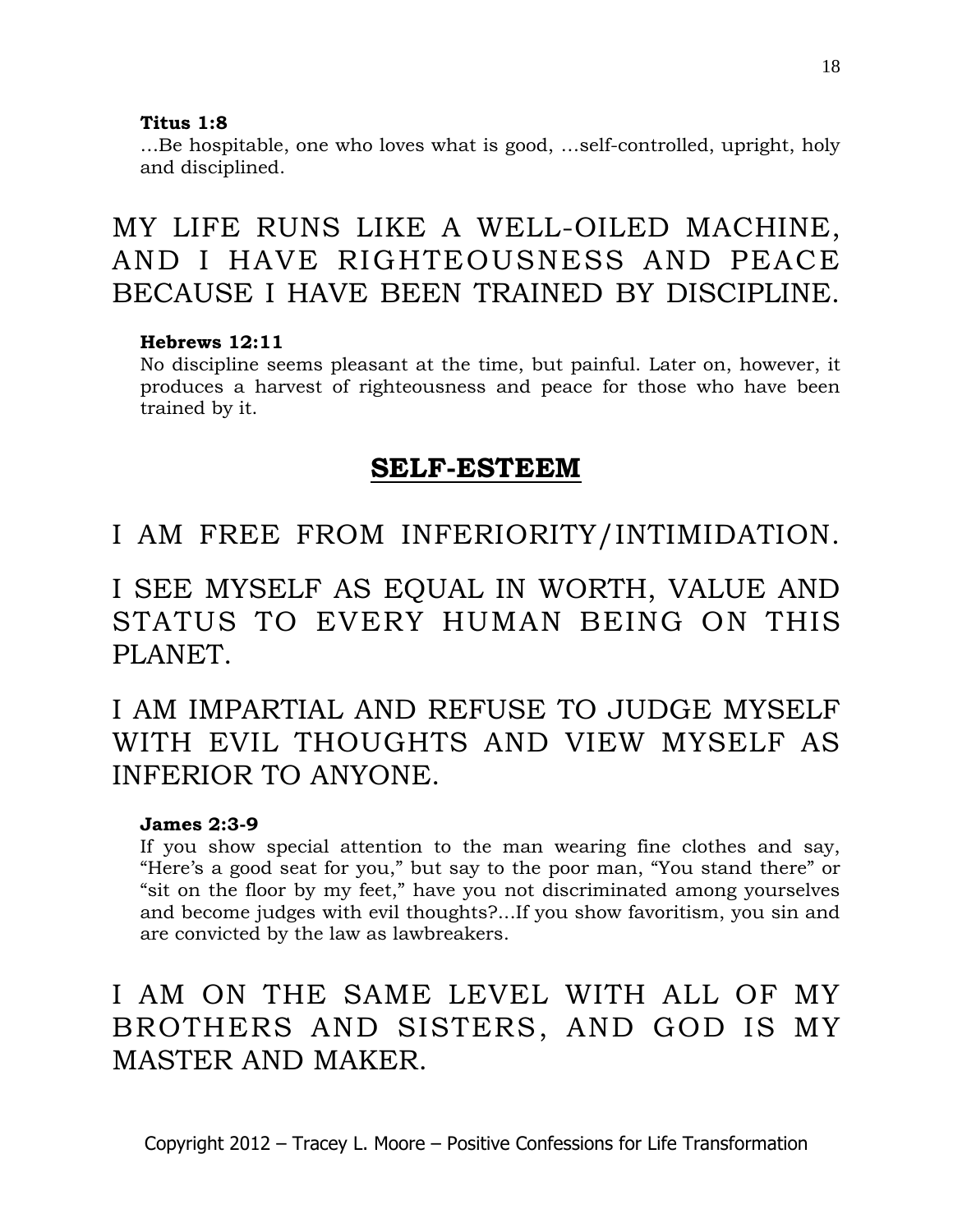### **Titus 1:8**

…Be hospitable, one who loves what is good, …self-controlled, upright, holy and disciplined.

MY LIFE RUNS LIKE A WELL-OILED MACHINE, AND I HAVE RIGHTEOUSNESS AND PEACE BECAUSE I HAVE BEEN TRAINED BY DISCIPLINE.

### **Hebrews 12:11**

No discipline seems pleasant at the time, but painful. Later on, however, it produces a harvest of righteousness and peace for those who have been trained by it.

### **SELF-ESTEEM**

I AM FREE FROM INFERIORITY/INTIMIDATION.

I SEE MYSELF AS EQUAL IN WORTH, VALUE AND STATUS TO EVERY HUMAN BEING ON THIS PLANET.

I AM IMPARTIAL AND REFUSE TO JUDGE MYSELF WITH EVIL THOUGHTS AND VIEW MYSELF AS INFERIOR TO ANYONE.

### **James 2:3-9**

If you show special attention to the man wearing fine clothes and say, "Here's a good seat for you," but say to the poor man, "You stand there" or "sit on the floor by my feet," have you not discriminated among yourselves and become judges with evil thoughts?...If you show favoritism, you sin and are convicted by the law as lawbreakers.

# I AM ON THE SAME LEVEL WITH ALL OF MY BROTHERS AND SISTERS, AND GOD IS MY MASTER AND MAKER.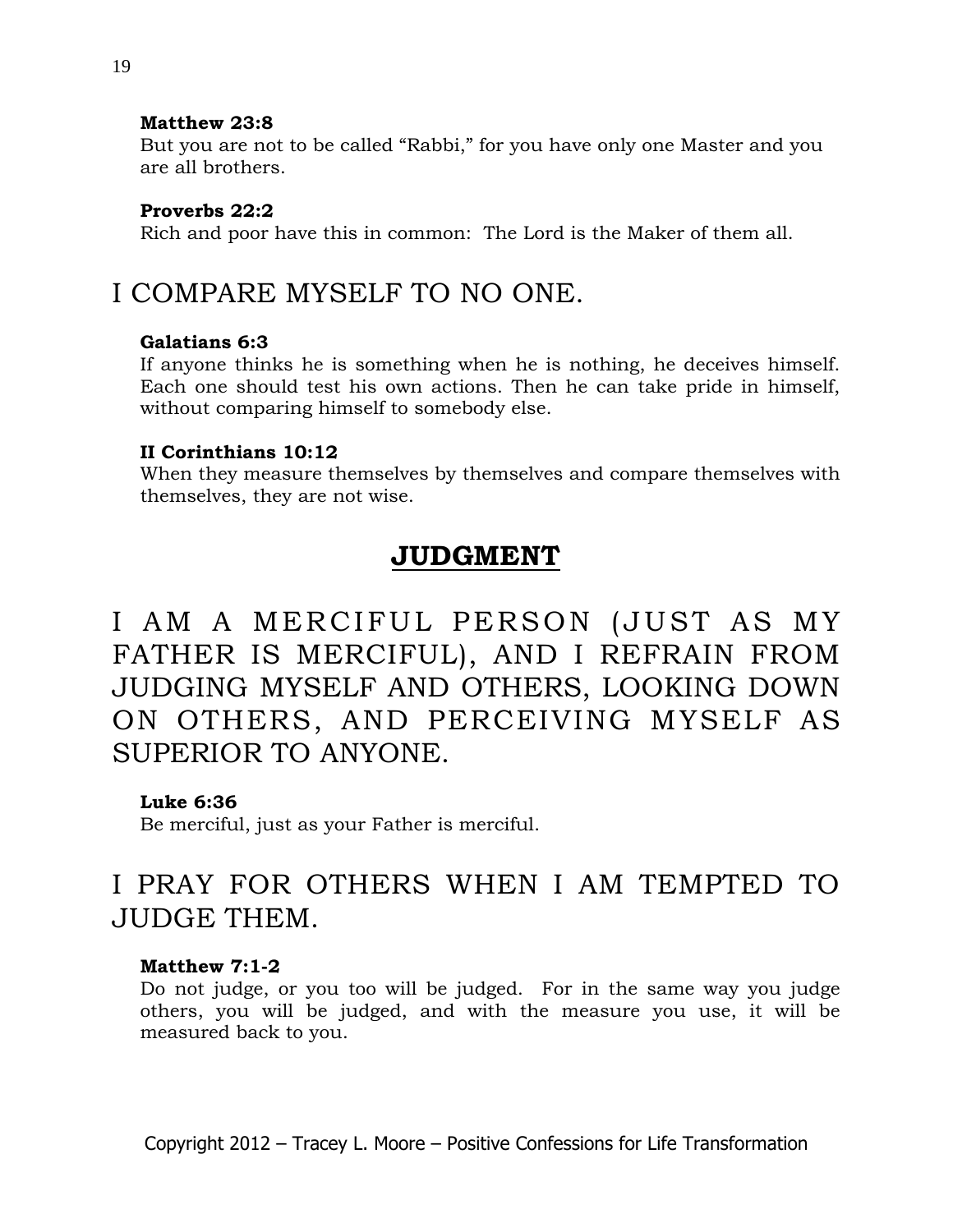### **Matthew 23:8**

But you are not to be called "Rabbi," for you have only one Master and you are all brothers.

### **Proverbs 22:2**

Rich and poor have this in common: The Lord is the Maker of them all.

# I COMPARE MYSELF TO NO ONE.

### **Galatians 6:3**

If anyone thinks he is something when he is nothing, he deceives himself. Each one should test his own actions. Then he can take pride in himself, without comparing himself to somebody else.

### **II Corinthians 10:12**

When they measure themselves by themselves and compare themselves with themselves, they are not wise.

### **JUDGMENT**

I AM A MERCIFUL PERSON (JUST AS MY FATHER IS MERCIFUL), AND I REFRAIN FROM JUDGING MYSELF AND OTHERS, LOOKING DOWN ON OTHERS, AND PERCEIVING MYSELF AS SUPERIOR TO ANYONE.

### **Luke 6:36**

Be merciful, just as your Father is merciful.

# I PRAY FOR OTHERS WHEN I AM TEMPTED TO JUDGE THEM.

### **Matthew 7:1-2**

Do not judge, or you too will be judged. For in the same way you judge others, you will be judged, and with the measure you use, it will be measured back to you.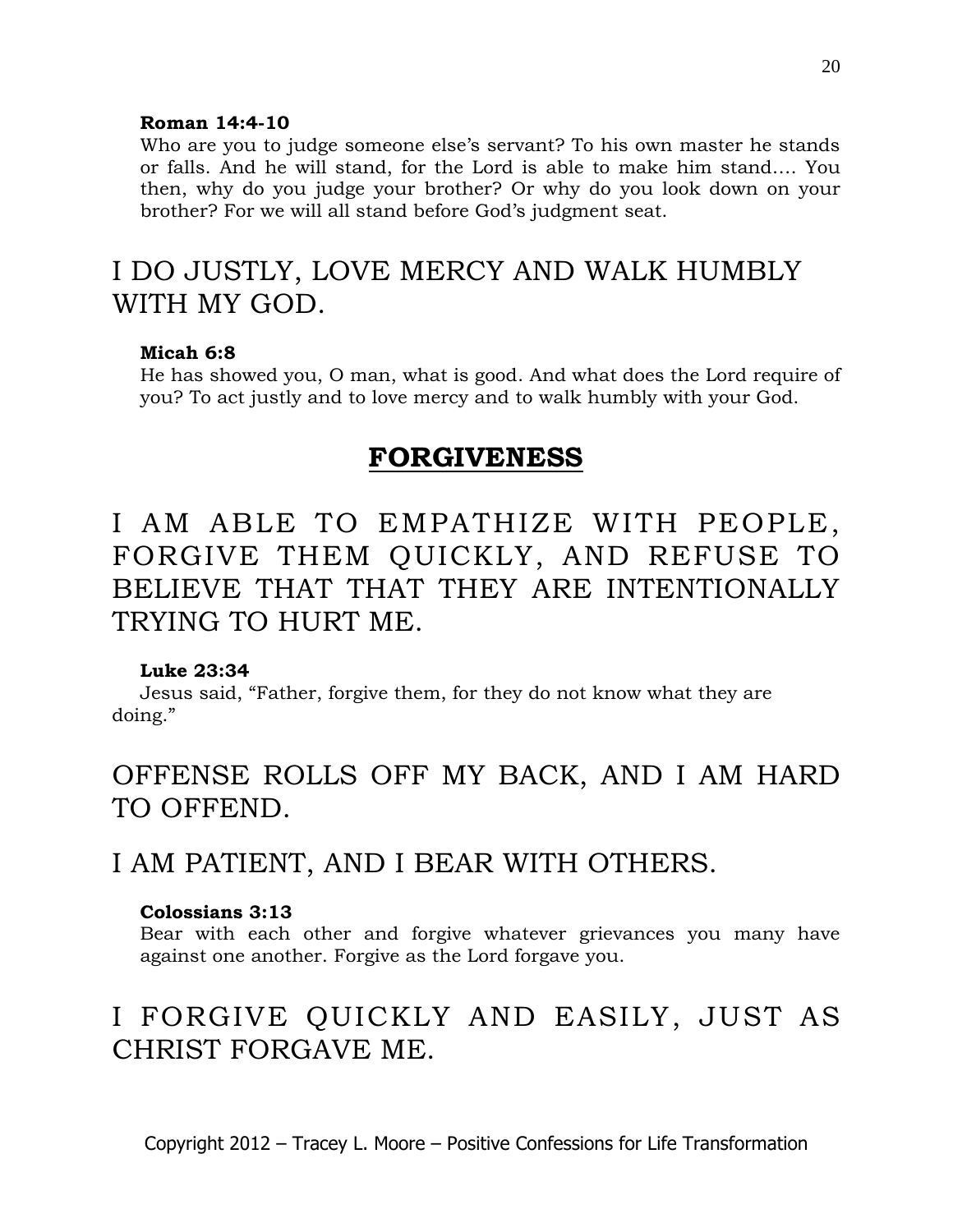### **Roman 14:4-10**

Who are you to judge someone else's servant? To his own master he stands or falls. And he will stand, for the Lord is able to make him stand…. You then, why do you judge your brother? Or why do you look down on your brother? For we will all stand before God's judgment seat.

# I DO JUSTLY, LOVE MERCY AND WALK HUMBLY WITH MY GOD.

### **Micah 6:8**

He has showed you, O man, what is good. And what does the Lord require of you? To act justly and to love mercy and to walk humbly with your God.

### **FORGIVENESS**

# I AM ABLE TO EMPATHIZE WITH PEOPLE, FORGIVE THEM QUICKLY, AND REFUSE TO BELIEVE THAT THAT THEY ARE INTENTIONALLY TRYING TO HURT ME.

### **Luke 23:34**

Jesus said, "Father, forgive them, for they do not know what they are doing."

# OFFENSE ROLLS OFF MY BACK, AND I AM HARD TO OFFEND.

### I AM PATIENT, AND I BEAR WITH OTHERS.

### **Colossians 3:13**

Bear with each other and forgive whatever grievances you many have against one another. Forgive as the Lord forgave you.

# I FORGIVE QUICKLY AND EASILY, JUST AS CHRIST FORGAVE ME.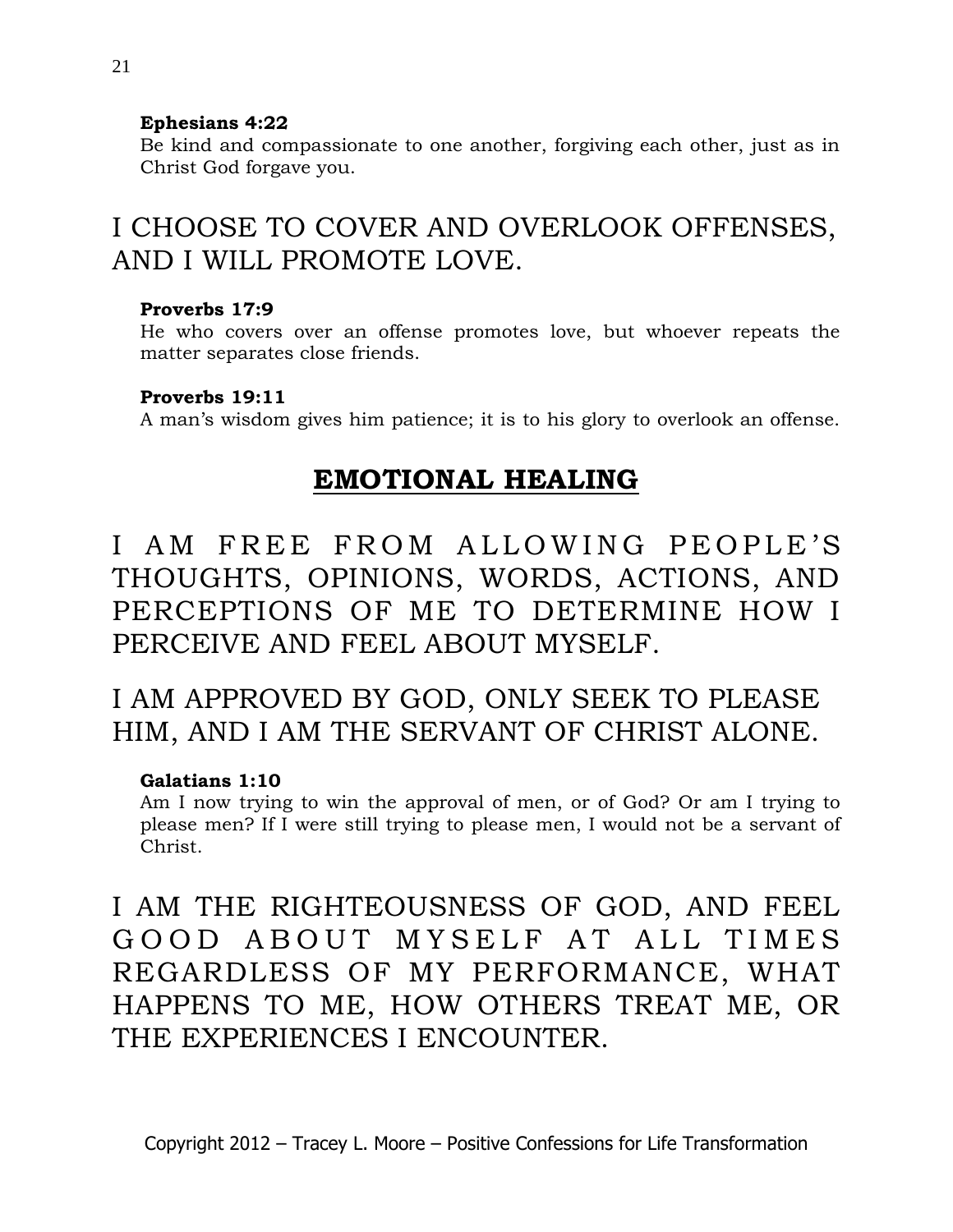### **Ephesians 4:22**

Be kind and compassionate to one another, forgiving each other, just as in Christ God forgave you.

# I CHOOSE TO COVER AND OVERLOOK OFFENSES, AND I WILL PROMOTE LOVE.

### **Proverbs 17:9**

He who covers over an offense promotes love, but whoever repeats the matter separates close friends.

### **Proverbs 19:11**

A man's wisdom gives him patience; it is to his glory to overlook an offense.

### **EMOTIONAL HEALING**

I AM FREE FROM ALLOWING PEOPLE'S THOUGHTS, OPINIONS, WORDS, ACTIONS, AND PERCEPTIONS OF ME TO DETERMINE HOW I PERCEIVE AND FEEL ABOUT MYSELF.

# I AM APPROVED BY GOD, ONLY SEEK TO PLEASE HIM, AND I AM THE SERVANT OF CHRIST ALONE.

### **Galatians 1:10**

Am I now trying to win the approval of men, or of God? Or am I trying to please men? If I were still trying to please men, I would not be a servant of Christ.

I AM THE RIGHTEOUSNESS OF GOD, AND FEEL GOOD ABOUT MYSELF AT ALL TIMES REGARDLESS OF MY PERFORMANCE, WHAT HAPPENS TO ME, HOW OTHERS TREAT ME, OR THE EXPERIENCES I ENCOUNTER.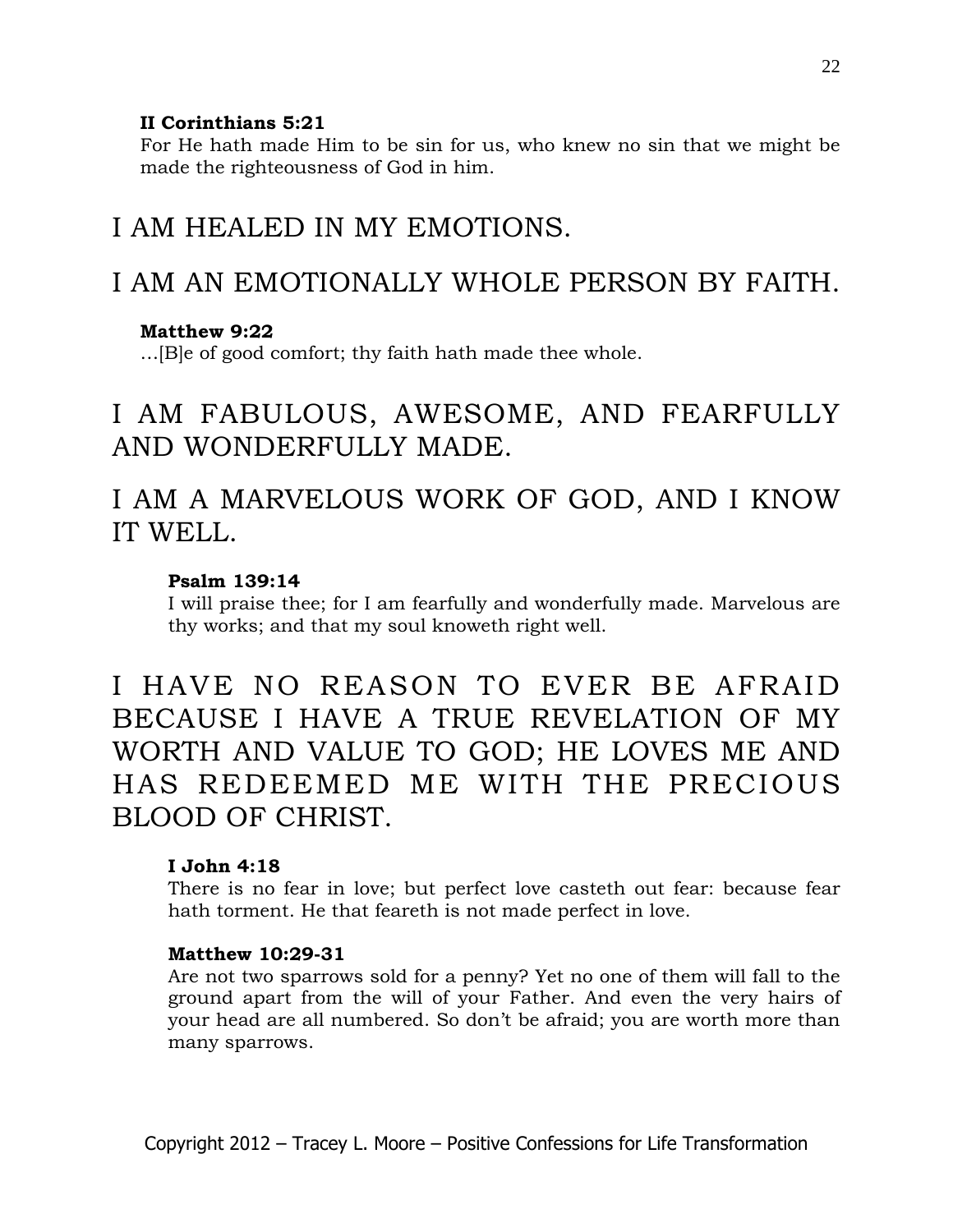### **II Corinthians 5:21**

For He hath made Him to be sin for us, who knew no sin that we might be made the righteousness of God in him.

# I AM HEALED IN MY EMOTIONS.

# I AM AN EMOTIONALLY WHOLE PERSON BY FAITH.

### **Matthew 9:22**

…[B]e of good comfort; thy faith hath made thee whole.

# I AM FABULOUS, AWESOME, AND FEARFULLY AND WONDERFULLY MADE.

# I AM A MARVELOUS WORK OF GOD, AND I KNOW IT WELL.

### **Psalm 139:14**

I will praise thee; for I am fearfully and wonderfully made. Marvelous are thy works; and that my soul knoweth right well.

I HAVE NO REASON TO EVER BE AFRAID BECAUSE I HAVE A TRUE REVELATION OF MY WORTH AND VALUE TO GOD; HE LOVES ME AND HAS REDEEMED ME WITH THE PRECIOUS BLOOD OF CHRIST.

### **I John 4:18**

There is no fear in love; but perfect love casteth out fear: because fear hath torment. He that feareth is not made perfect in love.

### **Matthew 10:29-31**

Are not two sparrows sold for a penny? Yet no one of them will fall to the ground apart from the will of your Father. And even the very hairs of your head are all numbered. So don't be afraid; you are worth more than many sparrows.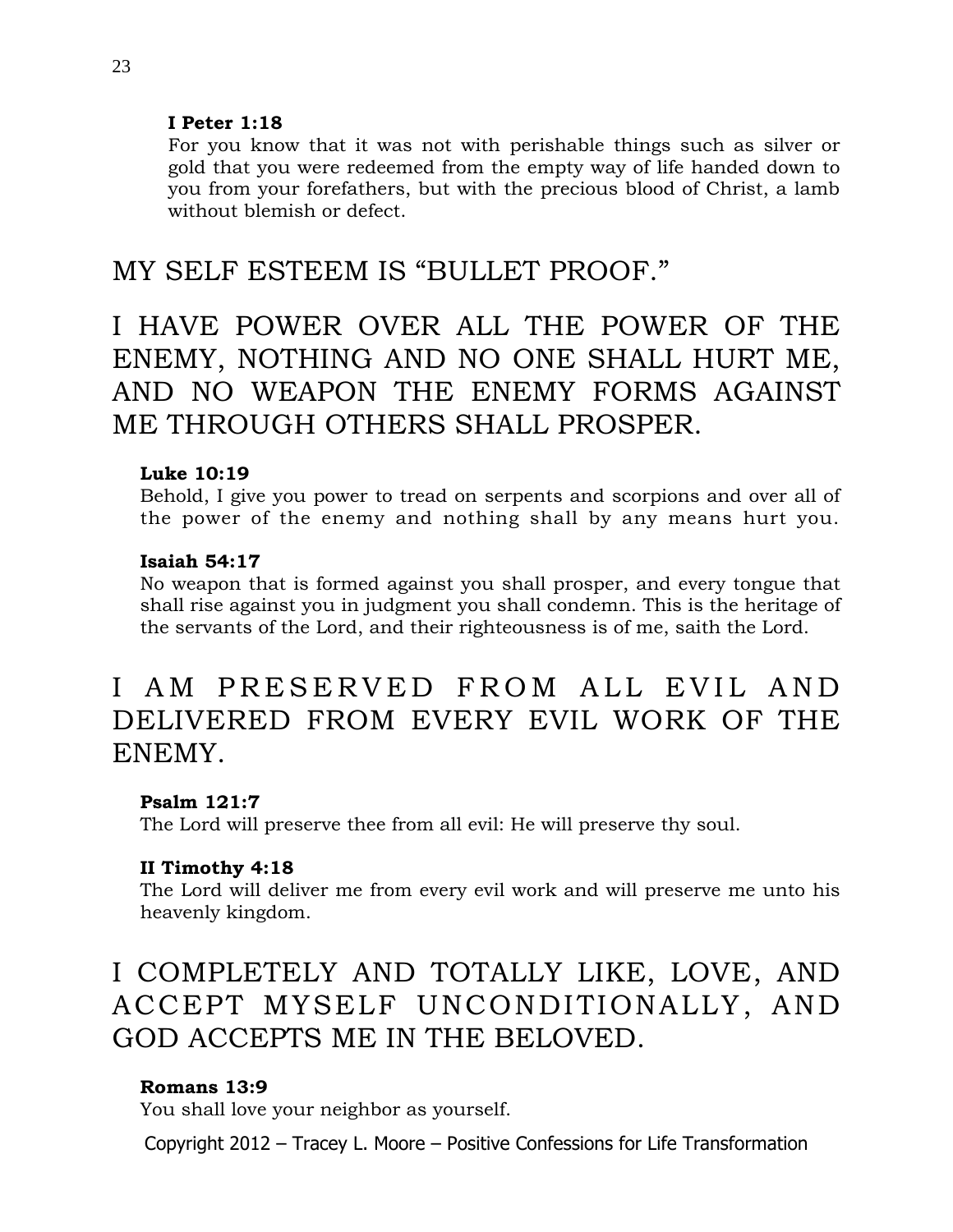### **I Peter 1:18**

For you know that it was not with perishable things such as silver or gold that you were redeemed from the empty way of life handed down to you from your forefathers, but with the precious blood of Christ, a lamb without blemish or defect.

### MY SELF ESTEEM IS "BULLET PROOF."

# I HAVE POWER OVER ALL THE POWER OF THE ENEMY, NOTHING AND NO ONE SHALL HURT ME, AND NO WEAPON THE ENEMY FORMS AGAINST ME THROUGH OTHERS SHALL PROSPER.

### **Luke 10:19**

Behold, I give you power to tread on serpents and scorpions and over all of the power of the enemy and nothing shall by any means hurt you.

### **Isaiah 54:17**

No weapon that is formed against you shall prosper, and every tongue that shall rise against you in judgment you shall condemn. This is the heritage of the servants of the Lord, and their righteousness is of me, saith the Lord.

# I AM PRESERVED FROM ALL EVIL AND DELIVERED FROM EVERY EVIL WORK OF THE ENEMY.

### **Psalm 121:7**

The Lord will preserve thee from all evil: He will preserve thy soul.

### **II Timothy 4:18**

The Lord will deliver me from every evil work and will preserve me unto his heavenly kingdom.

# I COMPLETELY AND TOTALLY LIKE, LOVE, AND ACCEPT MYSELF UNCONDITIONALLY, AND GOD ACCEPTS ME IN THE BELOVED.

### **Romans 13:9**

You shall love your neighbor as yourself.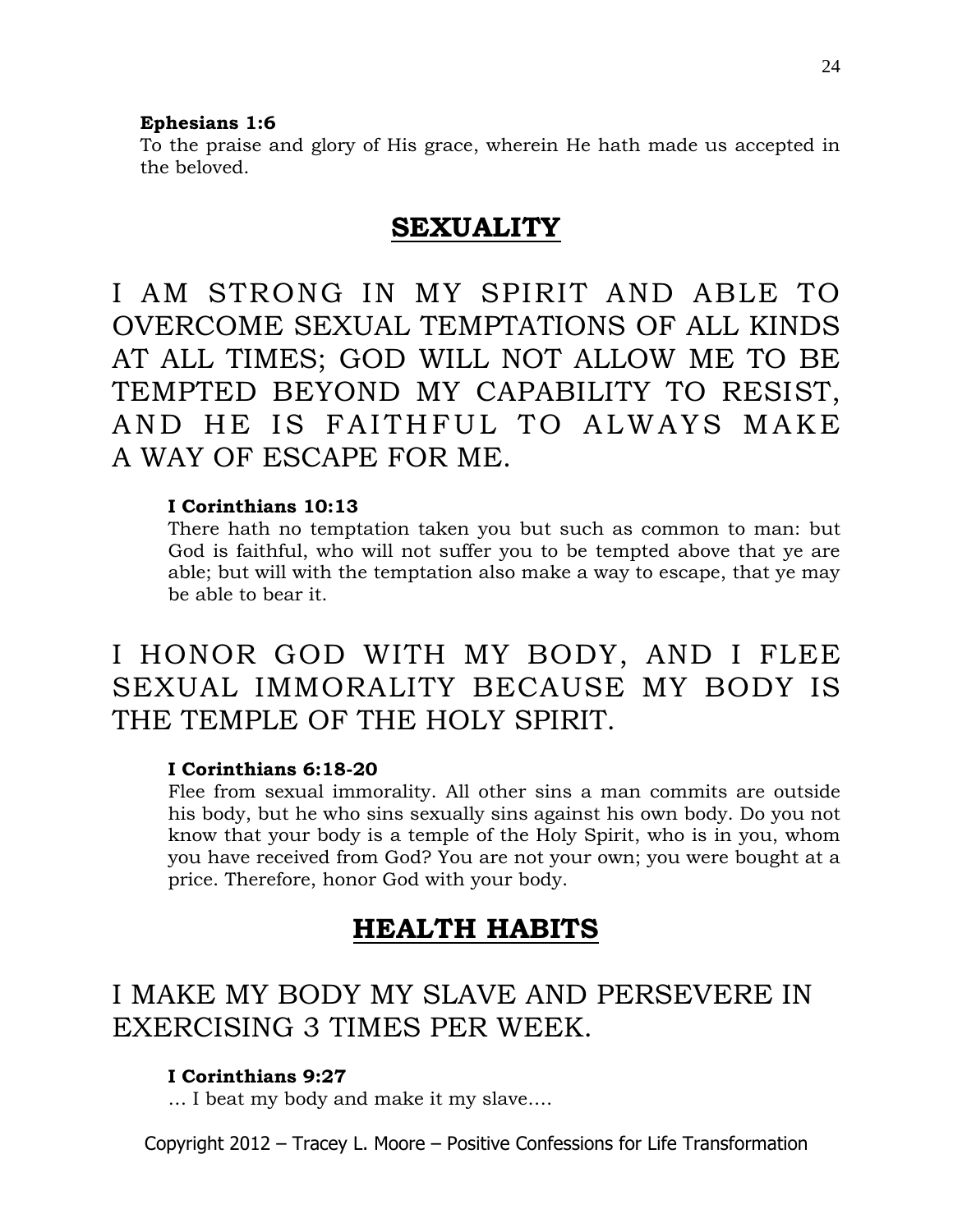#### **Ephesians 1:6**

To the praise and glory of His grace, wherein He hath made us accepted in the beloved.

### **SEXUALITY**

I AM STRONG IN MY SPIRIT AND ABLE TO OVERCOME SEXUAL TEMPTATIONS OF ALL KINDS AT ALL TIMES; GOD WILL NOT ALLOW ME TO BE TEMPTED BEYOND MY CAPABILITY TO RESIST, AND HE IS FAITHFUL TO ALWAYS MAKE A WAY OF ESCAPE FOR ME.

### **I Corinthians 10:13**

There hath no temptation taken you but such as common to man: but God is faithful, who will not suffer you to be tempted above that ye are able; but will with the temptation also make a way to escape, that ye may be able to bear it.

# I HONOR GOD WITH MY BODY, AND I FLEE SEXUAL IMMORALITY BECAUSE MY BODY IS THE TEMPLE OF THE HOLY SPIRIT.

### **I Corinthians 6:18-20**

Flee from sexual immorality. All other sins a man commits are outside his body, but he who sins sexually sins against his own body. Do you not know that your body is a temple of the Holy Spirit, who is in you, whom you have received from God? You are not your own; you were bought at a price. Therefore, honor God with your body.

### **HEALTH HABITS**

# I MAKE MY BODY MY SLAVE AND PERSEVERE IN EXERCISING 3 TIMES PER WEEK.

### **I Corinthians 9:27**

… I beat my body and make it my slave….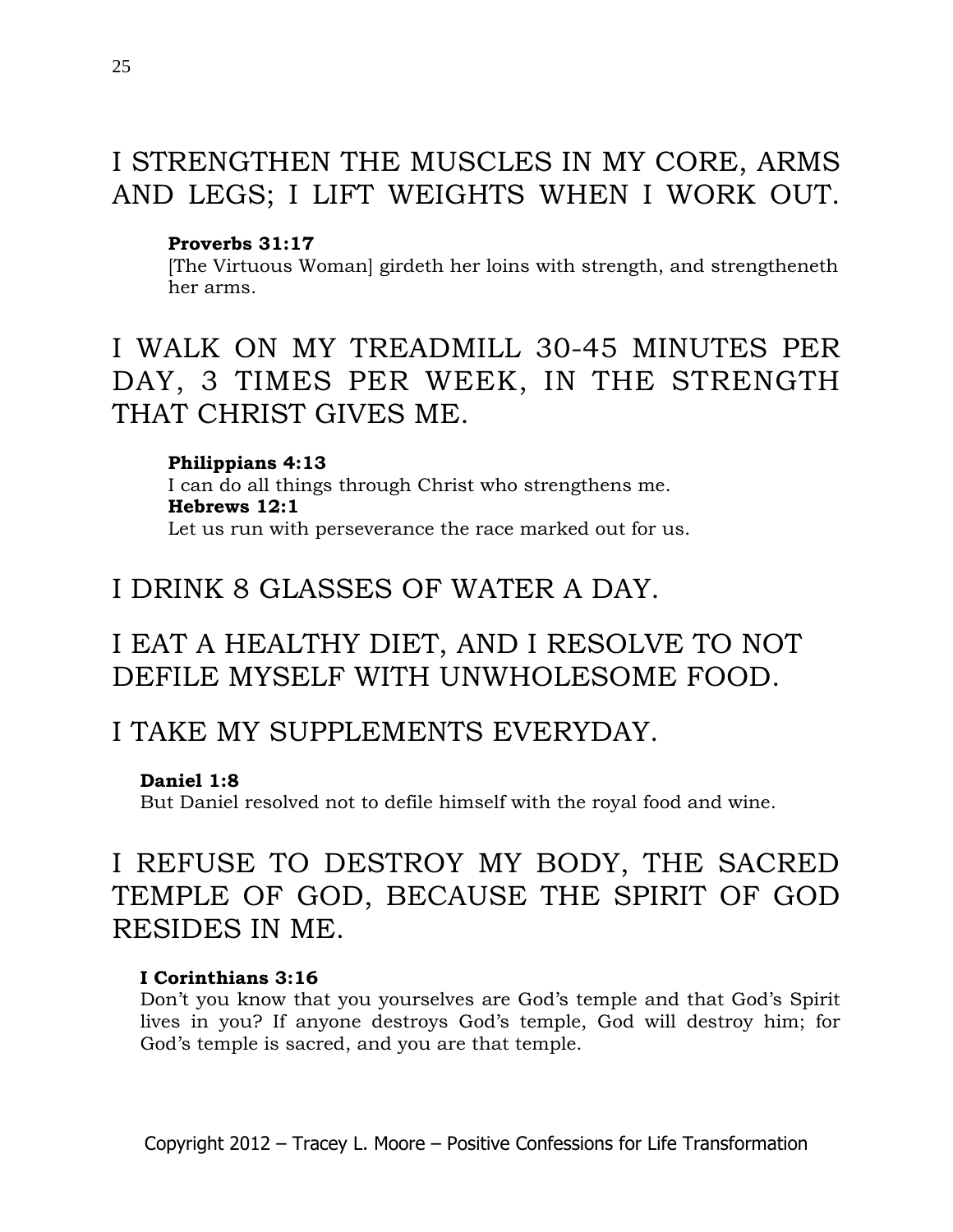# I STRENGTHEN THE MUSCLES IN MY CORE, ARMS AND LEGS; I LIFT WEIGHTS WHEN I WORK OUT.

### **Proverbs 31:17**

[The Virtuous Woman] girdeth her loins with strength, and strengtheneth her arms.

# I WALK ON MY TREADMILL 30-45 MINUTES PER DAY, 3 TIMES PER WEEK, IN THE STRENGTH THAT CHRIST GIVES ME.

**Philippians 4:13** I can do all things through Christ who strengthens me. **Hebrews 12:1** Let us run with perseverance the race marked out for us.

## I DRINK 8 GLASSES OF WATER A DAY.

# I EAT A HEALTHY DIET, AND I RESOLVE TO NOT DEFILE MYSELF WITH UNWHOLESOME FOOD.

### I TAKE MY SUPPLEMENTS EVERYDAY.

### **Daniel 1:8**

But Daniel resolved not to defile himself with the royal food and wine.

# I REFUSE TO DESTROY MY BODY, THE SACRED TEMPLE OF GOD, BECAUSE THE SPIRIT OF GOD RESIDES IN ME.

### **I Corinthians 3:16**

Don't you know that you yourselves are God's temple and that God's Spirit lives in you? If anyone destroys God's temple, God will destroy him; for God's temple is sacred, and you are that temple.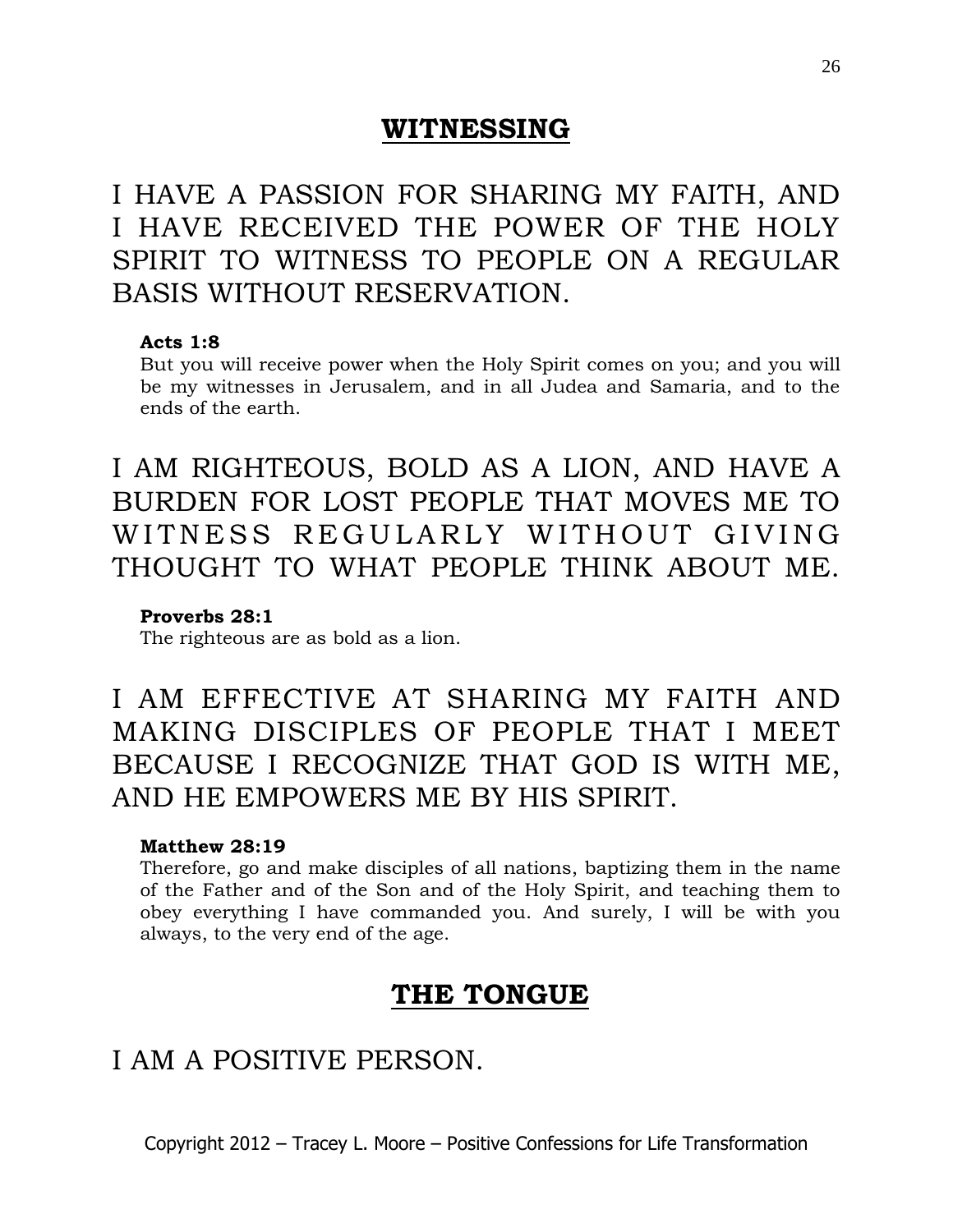### **WITNESSING**

I HAVE A PASSION FOR SHARING MY FAITH, AND I HAVE RECEIVED THE POWER OF THE HOLY SPIRIT TO WITNESS TO PEOPLE ON A REGULAR BASIS WITHOUT RESERVATION.

### **Acts 1:8**

But you will receive power when the Holy Spirit comes on you; and you will be my witnesses in Jerusalem, and in all Judea and Samaria, and to the ends of the earth.

I AM RIGHTEOUS, BOLD AS A LION, AND HAVE A BURDEN FOR LOST PEOPLE THAT MOVES ME TO WITNESS REGULARLY WITHOUT GIVING THOUGHT TO WHAT PEOPLE THINK ABOUT ME.

### **Proverbs 28:1**

The righteous are as bold as a lion.

I AM EFFECTIVE AT SHARING MY FAITH AND MAKING DISCIPLES OF PEOPLE THAT I MEET BECAUSE I RECOGNIZE THAT GOD IS WITH ME, AND HE EMPOWERS ME BY HIS SPIRIT.

### **Matthew 28:19**

Therefore, go and make disciples of all nations, baptizing them in the name of the Father and of the Son and of the Holy Spirit, and teaching them to obey everything I have commanded you. And surely, I will be with you always, to the very end of the age.

### **THE TONGUE**

# I AM A POSITIVE PERSON.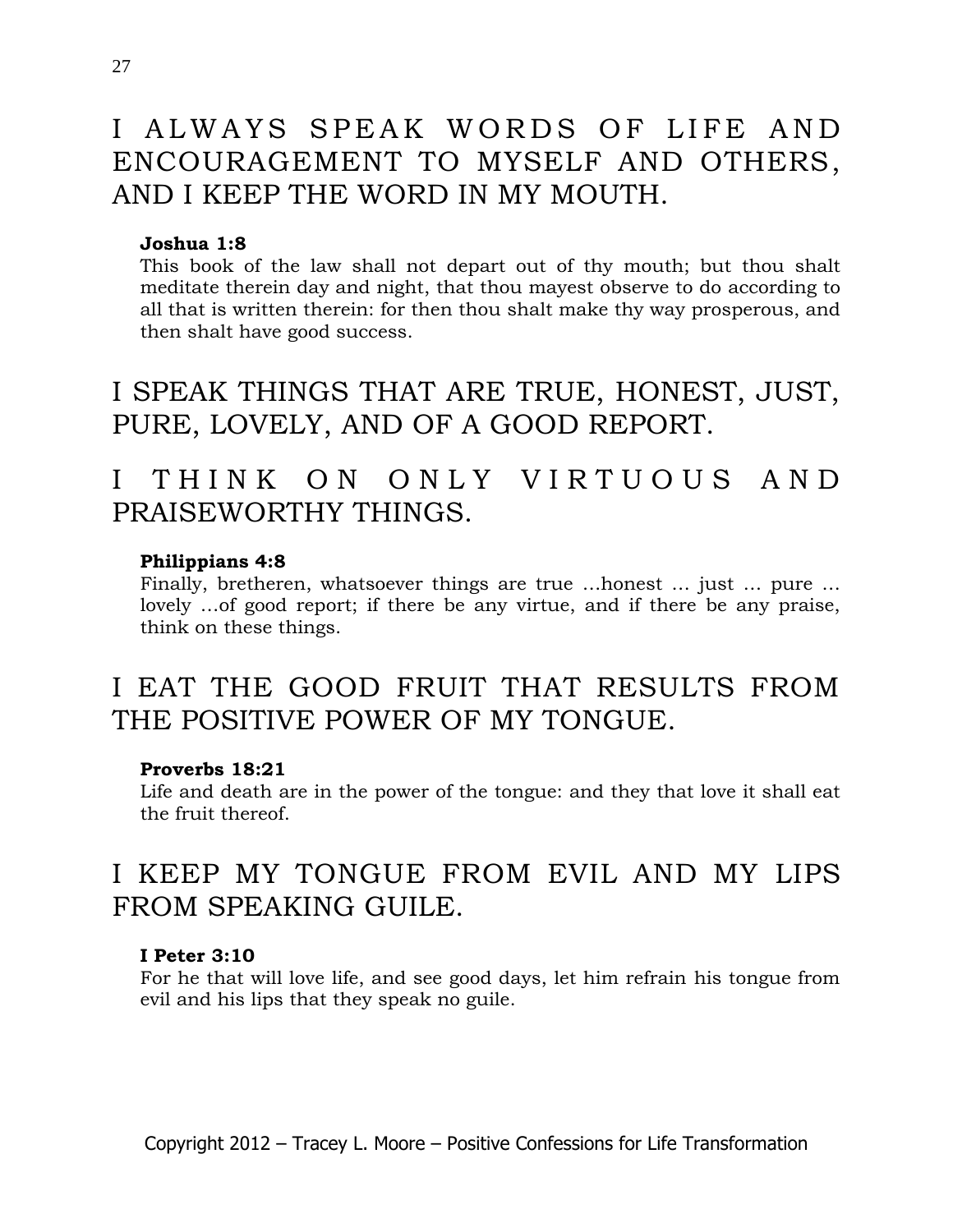# I ALWAYS SPEAK WORDS OF LIFE AND ENCOURAGEMENT TO MYSELF AND OTHERS, AND I KEEP THE WORD IN MY MOUTH.

### **Joshua 1:8**

This book of the law shall not depart out of thy mouth; but thou shalt meditate therein day and night, that thou mayest observe to do according to all that is written therein: for then thou shalt make thy way prosperous, and then shalt have good success.

I SPEAK THINGS THAT ARE TRUE, HONEST, JUST, PURE, LOVELY, AND OF A GOOD REPORT.

# I THINK ON ONLY VIRTUOUS AND PRAISEWORTHY THINGS.

### **Philippians 4:8**

Finally, bretheren, whatsoever things are true …honest … just … pure … lovely …of good report; if there be any virtue, and if there be any praise, think on these things.

# I EAT THE GOOD FRUIT THAT RESULTS FROM THE POSITIVE POWER OF MY TONGUE.

#### **Proverbs 18:21**

Life and death are in the power of the tongue: and they that love it shall eat the fruit thereof.

# I KEEP MY TONGUE FROM EVIL AND MY LIPS FROM SPEAKING GUILE.

#### **I Peter 3:10**

For he that will love life, and see good days, let him refrain his tongue from evil and his lips that they speak no guile.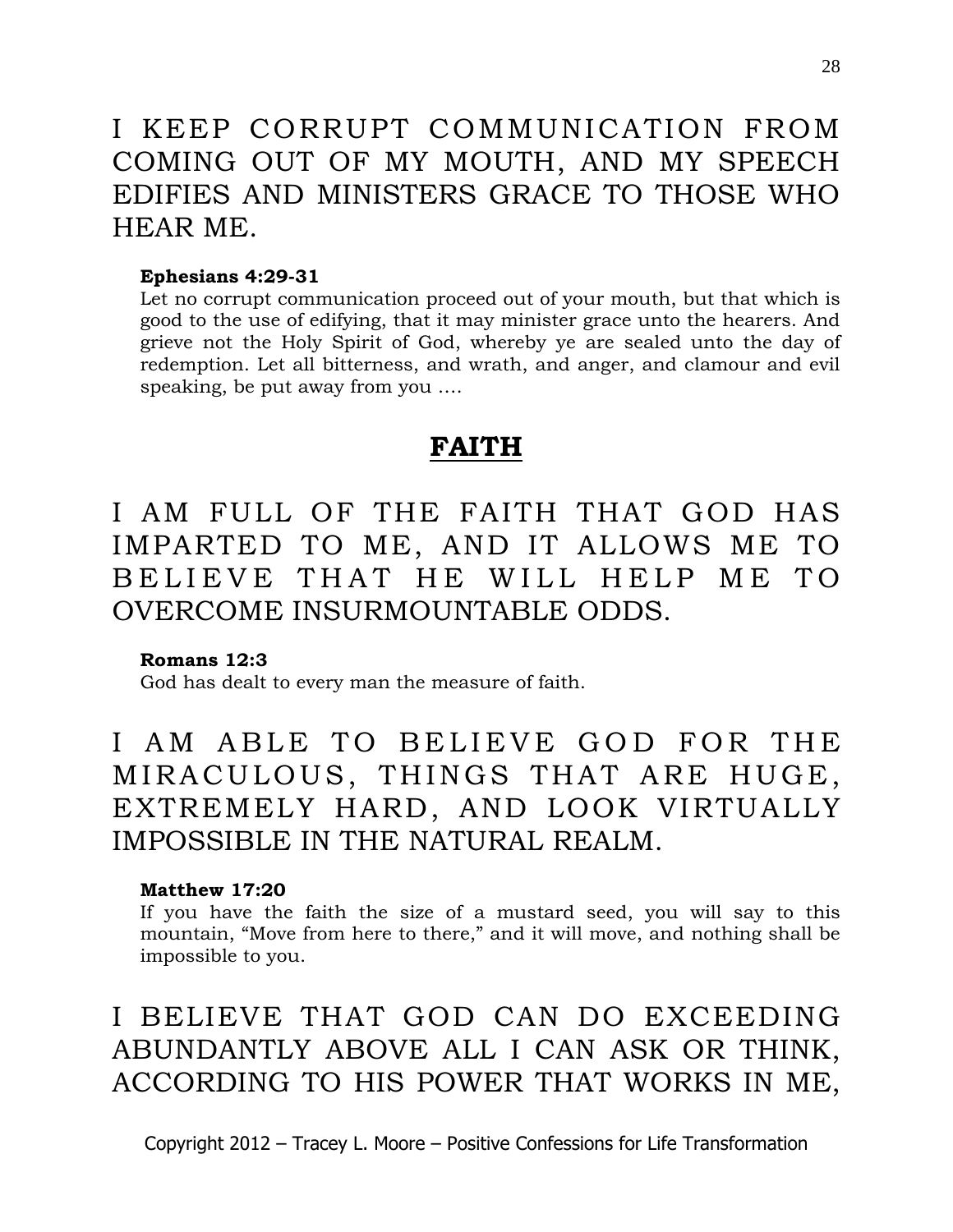# I KEEP CORRUPT COMMUNICATION FROM COMING OUT OF MY MOUTH, AND MY SPEECH EDIFIES AND MINISTERS GRACE TO THOSE WHO HEAR ME.

#### **Ephesians 4:29-31**

Let no corrupt communication proceed out of your mouth, but that which is good to the use of edifying, that it may minister grace unto the hearers. And grieve not the Holy Spirit of God, whereby ye are sealed unto the day of redemption. Let all bitterness, and wrath, and anger, and clamour and evil speaking, be put away from you ….

### **FAITH**

I AM FULL OF THE FAITH THAT GOD HAS IMPARTED TO ME, AND IT ALLOWS ME TO BELIEVE THAT HE WILL HELP ME TO OVERCOME INSURMOUNTABLE ODDS.

### **Romans 12:3**

God has dealt to every man the measure of faith.

I AM ABLE TO BELIEVE GOD FOR THE MIRACULOUS, THINGS THAT ARE HUGE, EXTREMELY HARD, AND LOOK VIRTUALLY IMPOSSIBLE IN THE NATURAL REALM.

### **Matthew 17:20**

If you have the faith the size of a mustard seed, you will say to this mountain, "Move from here to there," and it will move, and nothing shall be impossible to you.

I BELIEVE THAT GOD CAN DO EXCEEDING ABUNDANTLY ABOVE ALL I CAN ASK OR THINK, ACCORDING TO HIS POWER THAT WORKS IN ME,